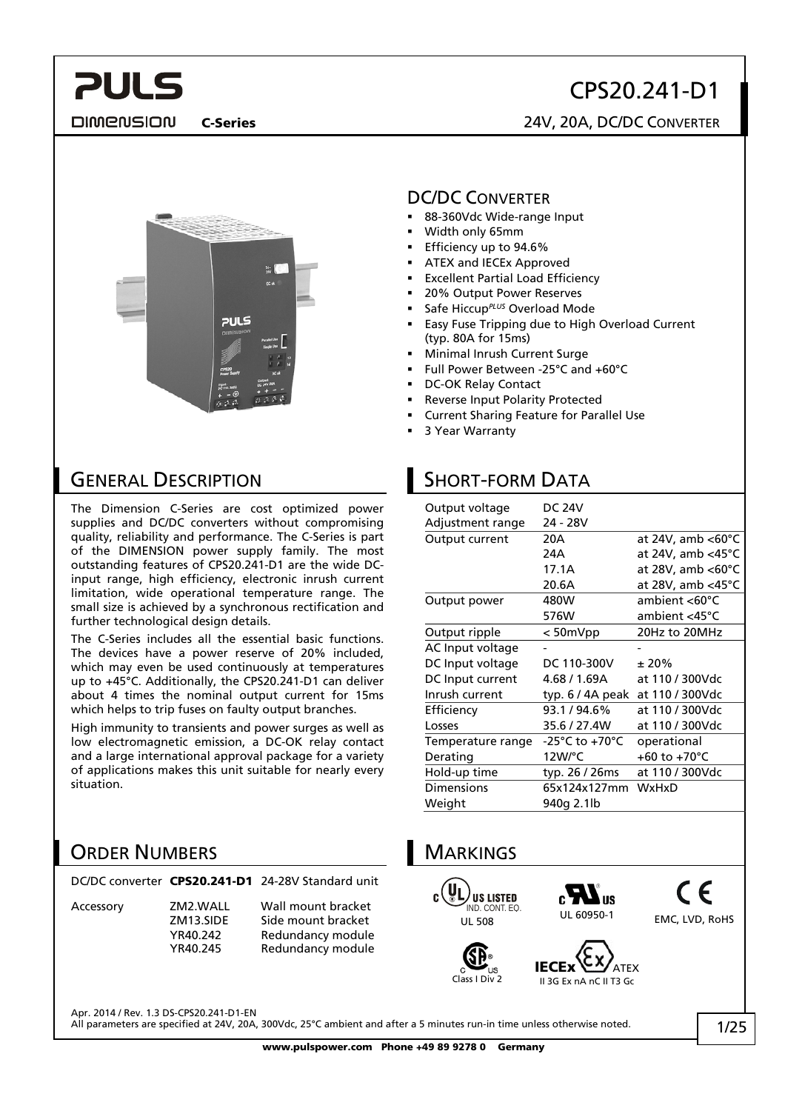# CPS20.241-D1

**DIMENSION** 

### C-Series 24V, 20A, DC/DC CONVERTER



### GENERAL DESCRIPTION

The Dimension C-Series are cost optimized power supplies and DC/DC converters without compromising quality, reliability and performance. The C-Series is part of the DIMENSION power supply family. The most outstanding features of CPS20.241-D1 are the wide DCinput range, high efficiency, electronic inrush current limitation, wide operational temperature range. The small size is achieved by a synchronous rectification and further technological design details.

The C-Series includes all the essential basic functions. The devices have a power reserve of 20% included, which may even be used continuously at temperatures up to +45°C. Additionally, the CPS20.241-D1 can deliver about 4 times the nominal output current for 15ms which helps to trip fuses on faulty output branches.

High immunity to transients and power surges as well as low electromagnetic emission, a DC-OK relay contact and a large international approval package for a variety of applications makes this unit suitable for nearly every situation.

### ORDER NUMBERS

Accessory ZM2.WALL Wall mount bracket

ZM13.SIDE Side mount bracket<br>YR40.242 Redundancy module YR40.242 Redundancy module Redundancy module

### DC/DC CONVERTER

- 88-360Vdc Wide-range Input
- Width only 65mm
- Efficiency up to 94.6%
- ATEX and IECEx Approved
- Excellent Partial Load Efficiency
- 20% Output Power Reserves
- Safe Hiccup*PLUS* Overload Mode
- Easy Fuse Tripping due to High Overload Current (typ. 80A for 15ms)
- Minimal Inrush Current Surge
- Full Power Between -25°C and +60°C
- DC-OK Relay Contact
- Reverse Input Polarity Protected
- Current Sharing Feature for Parallel Use
- 3 Year Warranty

# SHORT-FORM DATA

| Output voltage    | <b>DC 24V</b>                      |                                 |
|-------------------|------------------------------------|---------------------------------|
| Adjustment range  | 24 - 28V                           |                                 |
| Output current    | 20A                                | at 24V, amb $<$ 60 $^{\circ}$ C |
|                   | 24A                                | at 24V, amb $<$ 45 $^{\circ}$ C |
|                   | 17.1A                              | at 28V, amb <60°C               |
|                   | 20.6A                              | at 28V, amb <45°C               |
| Output power      | 480W                               | ambient $<$ 60 $\degree$ C      |
|                   | 576W                               | ambient <45°C                   |
| Output ripple     | $< 50$ m $Vpp$                     | 20Hz to 20MHz                   |
| AC Input voltage  |                                    |                                 |
| DC Input voltage  | DC 110-300V                        | ± 20%                           |
| DC Input current  | 4.68 / 1.69A                       | at 110 / 300Vdc                 |
| Inrush current    | typ. $6/4A$ peak                   | at 110 / 300Vdc                 |
| Efficiency        | 93.1/94.6%                         | at 110 / 300Vdc                 |
| Losses            | 35.6 / 27.4W                       | at 110 / 300Vdc                 |
| Temperature range | $-25^{\circ}$ C to $+70^{\circ}$ C | operational                     |
| Derating          | $12W$ <sup>o</sup> C               | +60 to +70°C                    |
| Hold-up time      | typ. 26 / 26ms                     | at 110 / 300Vdc                 |
| <b>Dimensions</b> | 65x124x127mm                       | <b>WxHxD</b>                    |
| Weight            | 940g 2.1lb                         |                                 |



Apr. 2014 / Rev. 1.3 DS-CPS20.241-D1-EN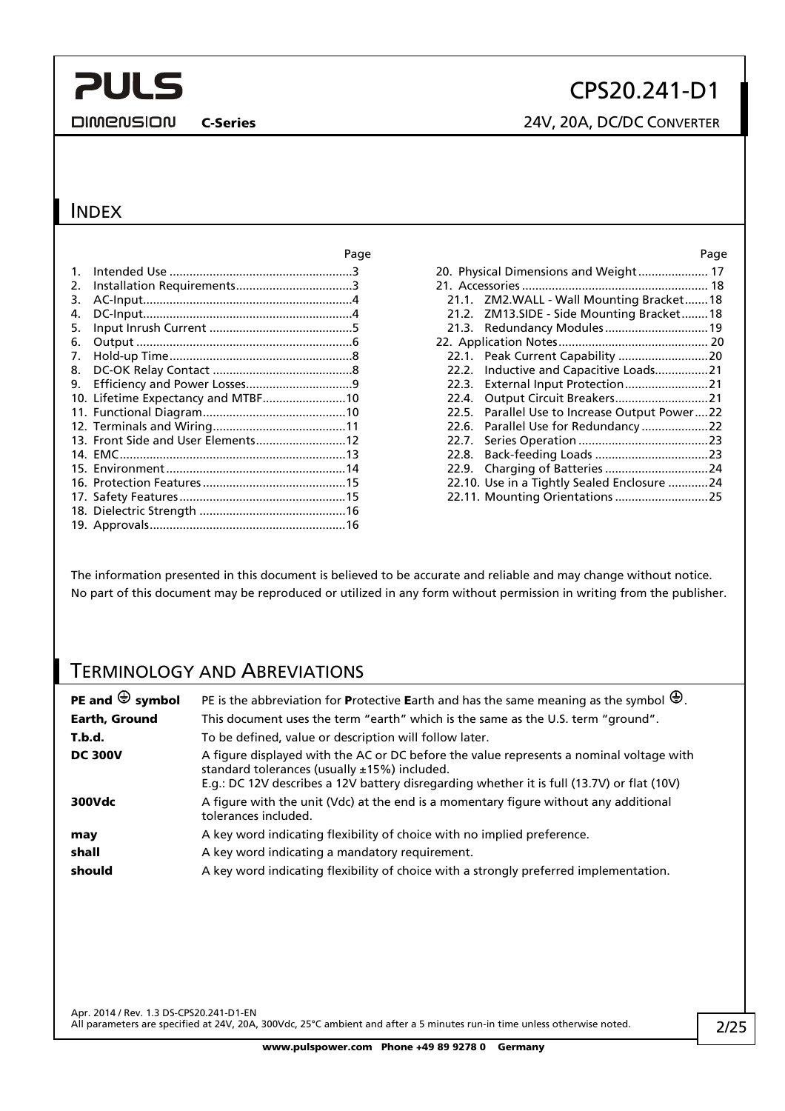**DIMENSION** 

# CPS20.241-D1

C-Series 24V, 20A, DC/DC CONVERTER

### INDEX

|    |                                    | Page | Page                                          |
|----|------------------------------------|------|-----------------------------------------------|
|    |                                    |      | 20. Physical Dimensions and Weight 17         |
| 2. |                                    |      |                                               |
| 3. |                                    |      | 21.1. ZM2.WALL - Wall Mounting Bracket18      |
| 4. |                                    |      | 21.2. ZM13.SIDE - Side Mounting Bracket18     |
| 5. |                                    |      | 21.3. Redundancy Modules 19                   |
| 6. |                                    |      |                                               |
| 7. |                                    |      |                                               |
| 8. |                                    |      | 22.2. Inductive and Capacitive Loads21        |
| 9. |                                    |      | 22.3.                                         |
|    | 10. Lifetime Expectancy and MTBF10 |      | Output Circuit Breakers21<br>22.4.            |
|    |                                    |      | 22.5. Parallel Use to Increase Output Power22 |
|    |                                    |      |                                               |
|    | 13. Front Side and User Elements12 |      | 22.7.                                         |
|    |                                    |      | 22.8.                                         |
|    |                                    |      |                                               |
|    |                                    |      | 22.10. Use in a Tightly Sealed Enclosure 24   |
|    |                                    |      | 22.11. Mounting Orientations 25               |
|    |                                    |      |                                               |
|    |                                    |      |                                               |

The information presented in this document is believed to be accurate and reliable and may change without notice. No part of this document may be reproduced or utilized in any form without permission in writing from the publisher.

### TERMINOLOGY AND ABREVIATIONS

| PE and $\bigoplus$ symbol | PE is the abbreviation for Protective Earth and has the same meaning as the symbol $\bigoplus$ .                                                                                                                                      |
|---------------------------|---------------------------------------------------------------------------------------------------------------------------------------------------------------------------------------------------------------------------------------|
| Earth, Ground             | This document uses the term "earth" which is the same as the U.S. term "ground".                                                                                                                                                      |
| T.b.d.                    | To be defined, value or description will follow later.                                                                                                                                                                                |
| <b>DC 300V</b>            | A figure displayed with the AC or DC before the value represents a nominal voltage with<br>standard tolerances (usually ±15%) included.<br>E.g.: DC 12V describes a 12V battery disregarding whether it is full (13.7V) or flat (10V) |
| 300Vdc                    | A figure with the unit (Vdc) at the end is a momentary figure without any additional<br>tolerances included.                                                                                                                          |
| may                       | A key word indicating flexibility of choice with no implied preference.                                                                                                                                                               |
| shall                     | A key word indicating a mandatory requirement.                                                                                                                                                                                        |
| should                    | A key word indicating flexibility of choice with a strongly preferred implementation.                                                                                                                                                 |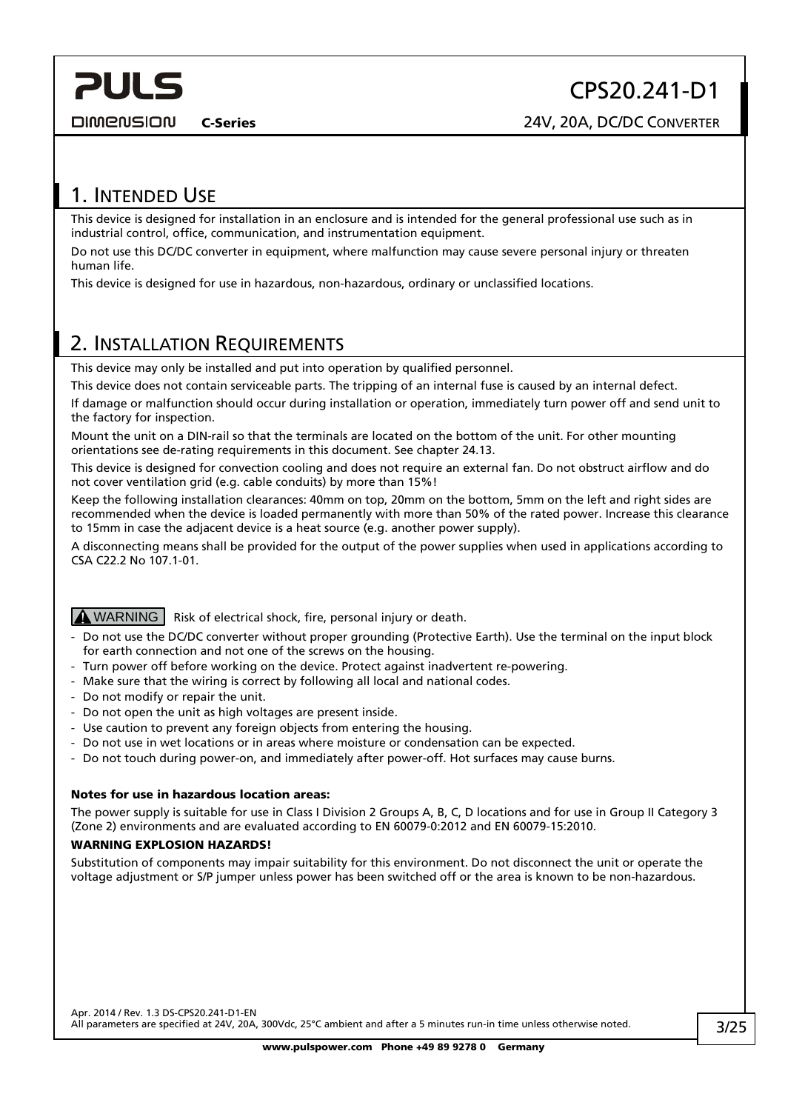## 1. INTENDED USE

<span id="page-2-0"></span>**PULS** 

This device is designed for installation in an enclosure and is intended for the general professional use such as in industrial control, office, communication, and instrumentation equipment.

Do not use this DC/DC converter in equipment, where malfunction may cause severe personal injury or threaten human life.

This device is designed for use in hazardous, non-hazardous, ordinary or unclassified locations.

### <span id="page-2-1"></span>2. INSTALLATION REQUIREMENTS

This device may only be installed and put into operation by qualified personnel.

This device does not contain serviceable parts. The tripping of an internal fuse is caused by an internal defect.

If damage or malfunction should occur during installation or operation, immediately turn power off and send unit to the factory for inspection.

Mount the unit on a DIN-rail so that the terminals are located on the bottom of the unit. For other mounting orientations see de-rating requirements in this document. See chapter [24.13.](#page-24-1)

This device is designed for convection cooling and does not require an external fan. Do not obstruct airflow and do not cover ventilation grid (e.g. cable conduits) by more than 15%!

Keep the following installation clearances: 40mm on top, 20mm on the bottom, 5mm on the left and right sides are recommended when the device is loaded permanently with more than 50% of the rated power. Increase this clearance to 15mm in case the adjacent device is a heat source (e.g. another power supply).

A disconnecting means shall be provided for the output of the power supplies when used in applications according to CSA C22.2 No 107.1-01.

**A WARNING** Risk of electrical shock, fire, personal injury or death.

- Do not use the DC/DC converter without proper grounding (Protective Earth). Use the terminal on the input block for earth connection and not one of the screws on the housing.
- Turn power off before working on the device. Protect against inadvertent re-powering.
- Make sure that the wiring is correct by following all local and national codes.
- Do not modify or repair the unit.
- Do not open the unit as high voltages are present inside.
- Use caution to prevent any foreign objects from entering the housing.
- Do not use in wet locations or in areas where moisture or condensation can be expected.
- Do not touch during power-on, and immediately after power-off. Hot surfaces may cause burns.

#### Notes for use in hazardous location areas:

The power supply is suitable for use in Class I Division 2 Groups A, B, C, D locations and for use in Group II Category 3 (Zone 2) environments and are evaluated according to EN 60079-0:2012 and EN 60079-15:2010.

#### WARNING EXPLOSION HAZARDS!

Substitution of components may impair suitability for this environment. Do not disconnect the unit or operate the voltage adjustment or S/P jumper unless power has been switched off or the area is known to be non-hazardous.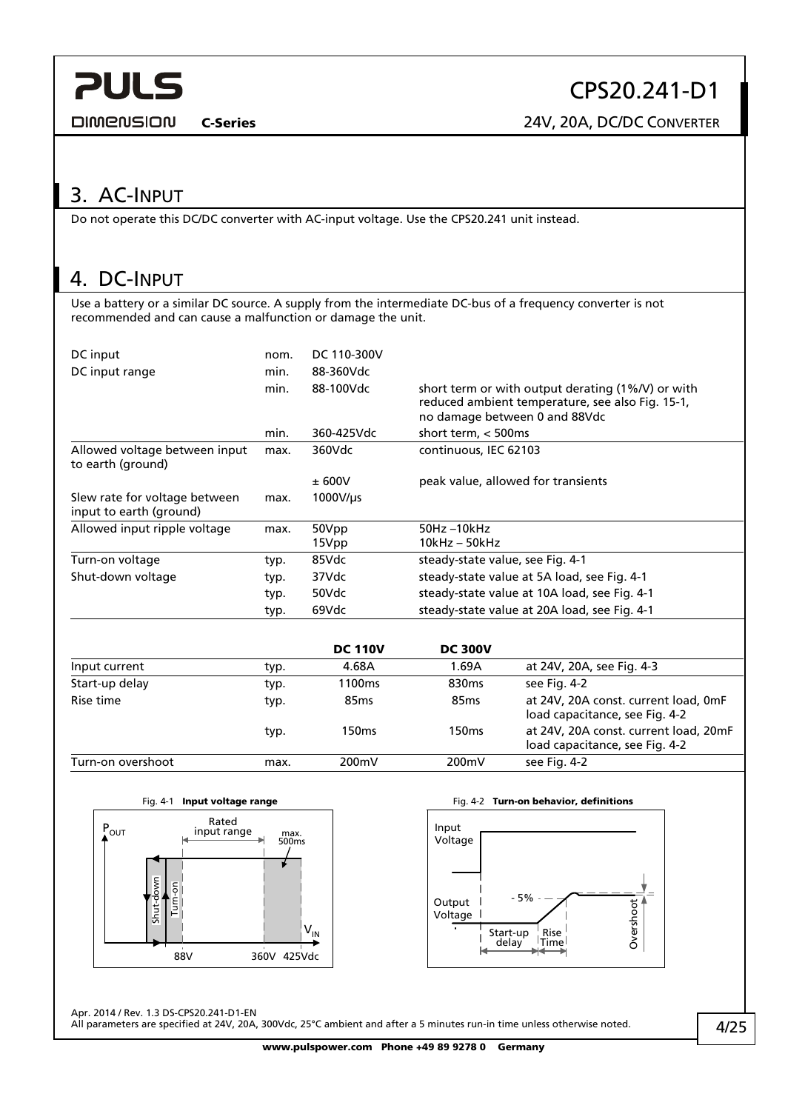<span id="page-3-0"></span>**DIMENSION** 

CPS20.241-D1

C-Series 24V, 20A, DC/DC CONVERTER

## 3. AC-INPUT

Do not operate this DC/DC converter with AC-input voltage. Use the CPS20.241 unit instead.

## 4. DC-INPUT

Use a battery or a similar DC source. A supply from the intermediate DC-bus of a frequency converter is not recommended and can cause a malfunction or damage the unit.

| DC input<br>DC input range                               | nom.<br>min.<br>min. | DC 110-300V<br>88-360Vdc<br>88-100Vdc | short term or with output derating $(1\%N)$ or with<br>reduced ambient temperature, see also Fig. 15-1,<br>no damage between 0 and 88Vdc |
|----------------------------------------------------------|----------------------|---------------------------------------|------------------------------------------------------------------------------------------------------------------------------------------|
|                                                          | min.                 | 360-425Vdc                            | short term, $<$ 500ms                                                                                                                    |
| Allowed voltage between input<br>to earth (ground)       | max.                 | 360Vdc                                | continuous, IEC 62103                                                                                                                    |
|                                                          |                      | ± 600V                                | peak value, allowed for transients                                                                                                       |
| Slew rate for voltage between<br>input to earth (ground) | max.                 | 1000V/us                              |                                                                                                                                          |
| Allowed input ripple voltage                             | max.                 | 50Vpp                                 | 50Hz-10kHz                                                                                                                               |
|                                                          |                      | 15Vpp                                 | 10kHz – 50kHz                                                                                                                            |
| Turn-on voltage                                          | typ.                 | 85Vdc                                 | steady-state value, see Fig. 4-1                                                                                                         |
| Shut-down voltage                                        | typ.                 | 37Vdc                                 | steady-state value at 5A load, see Fig. 4-1                                                                                              |
|                                                          | typ.                 | 50Vdc                                 | steady-state value at 10A load, see Fig. 4-1                                                                                             |
|                                                          | typ.                 | 69Vdc                                 | steady-state value at 20A load, see Fig. 4-1                                                                                             |

|                   |      | <b>DC 110V</b>     | <b>DC 300V</b>    |                                                                         |
|-------------------|------|--------------------|-------------------|-------------------------------------------------------------------------|
| Input current     | typ. | 4.68A              | 1.69A             | at 24V, 20A, see Fig. 4-3                                               |
| Start-up delay    | typ. | 1100 <sub>ms</sub> | 830 <sub>ms</sub> | see Fig. 4-2                                                            |
| Rise time         | typ. | 85 <sub>ms</sub>   | 85 <sub>ms</sub>  | at 24V, 20A const. current load, 0mF<br>load capacitance, see Fig. 4-2  |
|                   | typ. | 150ms              | 150 <sub>ms</sub> | at 24V, 20A const. current load, 20mF<br>load capacitance, see Fig. 4-2 |
| Turn-on overshoot | max. | 200mV              | 200mV             | see Fig. 4-2                                                            |

<span id="page-3-1"></span>



Apr. 2014 / Rev. 1.3 DS-CPS20.241-D1-EN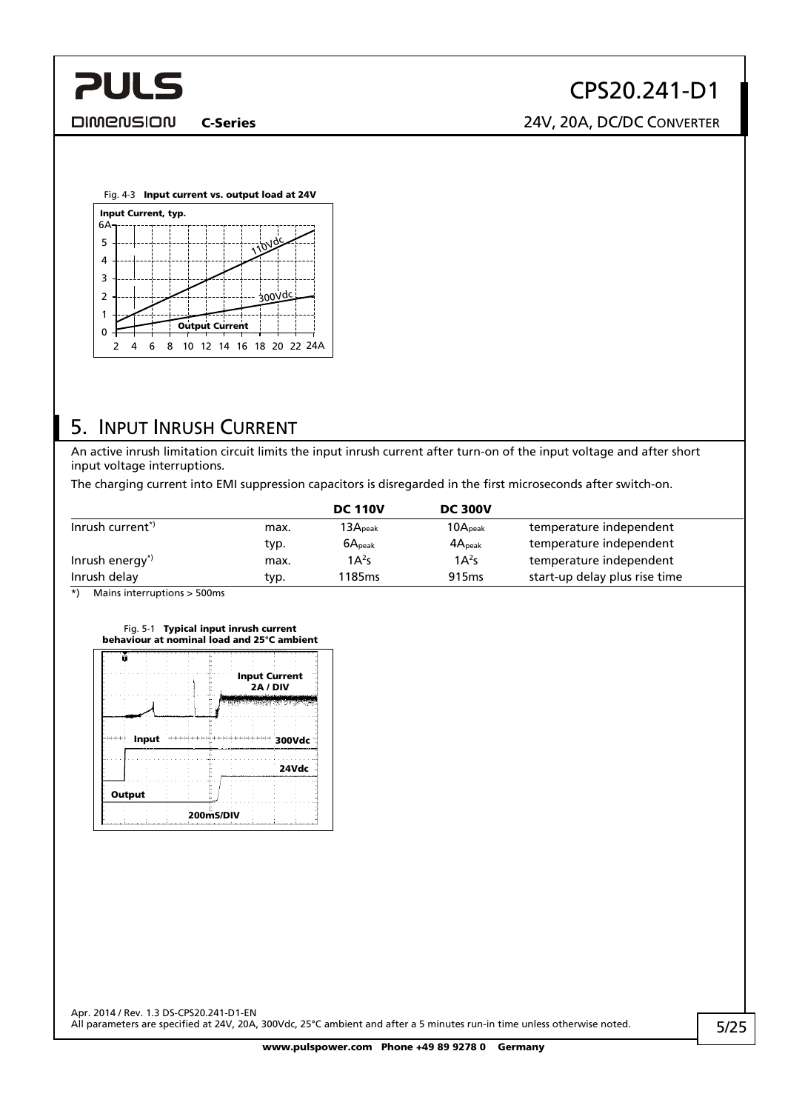<span id="page-4-0"></span>

C-Series 24V, 20A, DC/DC CONVERTER

<span id="page-4-1"></span>

## 5. INPUT INRUSH CURRENT

An active inrush limitation circuit limits the input inrush current after turn-on of the input voltage and after short input voltage interruptions.

The charging current into EMI suppression capacitors is disregarded in the first microseconds after switch-on.

|                             |      | <b>DC 110V</b>               | <b>DC 300V</b>      |                               |
|-----------------------------|------|------------------------------|---------------------|-------------------------------|
| Inrush current <sup>*</sup> | max. | $\mathsf{I3A}_\mathsf{peak}$ | 10A <sub>peak</sub> | temperature independent       |
|                             | typ. | $6A_{\text{peak}}$           | $4A_{\text{peak}}$  | temperature independent       |
| Inrush energy <sup>*</sup>  | max. | $1A^2s$                      | $1A^2s$             | temperature independent       |
| Inrush delay                | typ. | 1185 <sub>ms</sub>           | 915 <sub>ms</sub>   | start-up delay plus rise time |

\*) Mains interruptions > 500ms



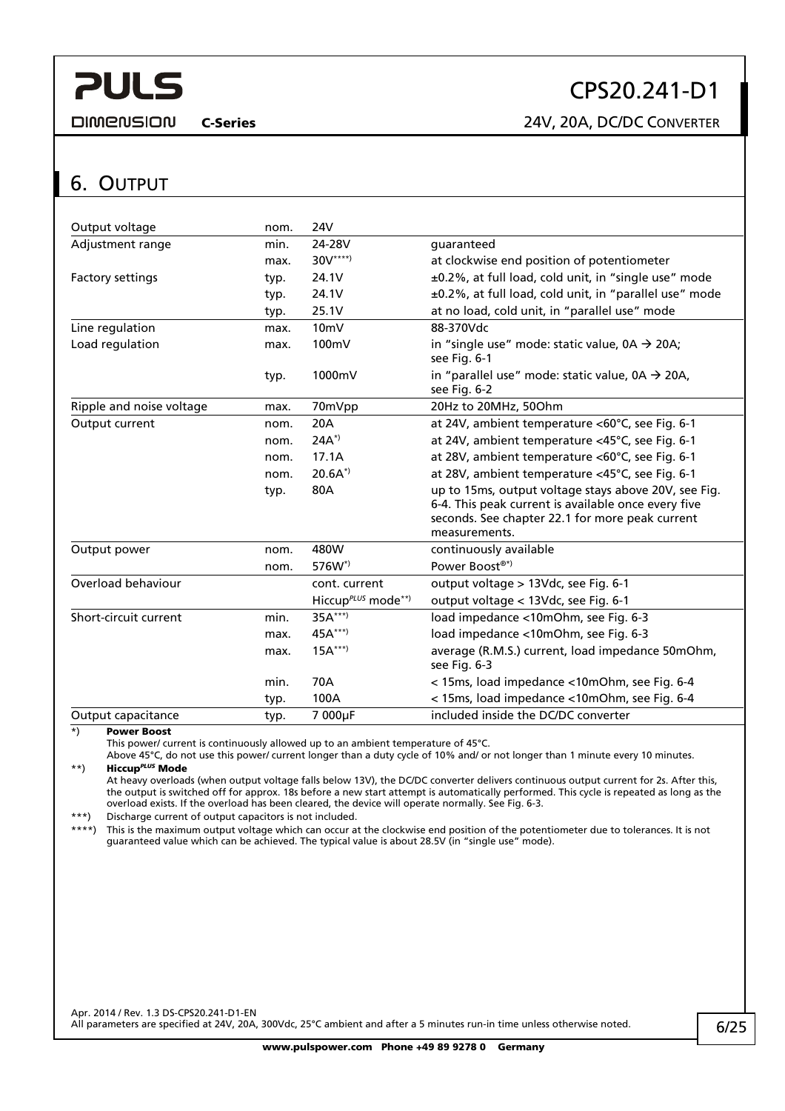CPS20.241-D1

<span id="page-5-0"></span>**DIMENSION** 

C-Series 24V, 20A, DC/DC CONVERTER

### <span id="page-5-1"></span>6. OUTPUT

| Output voltage           | nom. | 24V                            |                                                                                                                                                                                 |
|--------------------------|------|--------------------------------|---------------------------------------------------------------------------------------------------------------------------------------------------------------------------------|
| Adjustment range         | min. | 24-28V                         | guaranteed                                                                                                                                                                      |
|                          | max. | $30V^{***}$                    | at clockwise end position of potentiometer                                                                                                                                      |
| Factory settings         | typ. | 24.1V                          | ±0.2%, at full load, cold unit, in "single use" mode                                                                                                                            |
|                          | typ. | 24.1V                          | ±0.2%, at full load, cold unit, in "parallel use" mode                                                                                                                          |
|                          | typ. | 25.1V                          | at no load, cold unit, in "parallel use" mode                                                                                                                                   |
| Line regulation          | max. | 10 <sub>mV</sub>               | 88-370Vdc                                                                                                                                                                       |
| Load regulation          | max. | 100mV                          | in "single use" mode: static value, $0A \rightarrow 20A$ ;<br>see Fig. 6-1                                                                                                      |
|                          | typ. | 1000mV                         | in "parallel use" mode: static value, $0A \rightarrow 20A$ ,<br>see Fig. 6-2                                                                                                    |
| Ripple and noise voltage | max. | 70mVpp                         | 20Hz to 20MHz, 50Ohm                                                                                                                                                            |
| Output current           | nom. | 20A                            | at 24V, ambient temperature <60°C, see Fig. 6-1                                                                                                                                 |
|                          | nom. | $24A^{*}$                      | at 24V, ambient temperature <45°C, see Fig. 6-1                                                                                                                                 |
|                          | nom. | 17.1A                          | at 28V, ambient temperature <60°C, see Fig. 6-1                                                                                                                                 |
|                          | nom. | $20.6A^{*}$                    | at 28V, ambient temperature <45°C, see Fig. 6-1                                                                                                                                 |
|                          | typ. | 80A                            | up to 15ms, output voltage stays above 20V, see Fig.<br>6-4. This peak current is available once every five<br>seconds. See chapter 22.1 for more peak current<br>measurements. |
| Output power             | nom. | 480W                           | continuously available                                                                                                                                                          |
|                          | nom. | 576W <sup>*</sup>              | Power Boost®*)                                                                                                                                                                  |
| Overload behaviour       |      | cont. current                  | output voltage > 13Vdc, see Fig. 6-1                                                                                                                                            |
|                          |      | Hiccup <sup>PLUS</sup> mode**) | output voltage < 13Vdc, see Fig. 6-1                                                                                                                                            |
| Short-circuit current    | min. | $35A***$                       | load impedance <10mOhm, see Fig. 6-3                                                                                                                                            |
|                          | max. | 45A***)                        | load impedance <10mOhm, see Fig. 6-3                                                                                                                                            |
|                          | max. | $15A***$                       | average (R.M.S.) current, load impedance 50mOhm,<br>see Fig. 6-3                                                                                                                |
|                          | min. | 70A                            | < 15ms, load impedance < 10mOhm, see Fig. 6-4                                                                                                                                   |
|                          | typ. | 100A                           | < 15ms, load impedance < 10mOhm, see Fig. 6-4                                                                                                                                   |
| Output capacitance       | typ. | 7 000µF                        | included inside the DC/DC converter                                                                                                                                             |

\*) Power Boost

This power/ current is continuously allowed up to an ambient temperature of 45°C.

Above 45°C, do not use this power/ current longer than a duty cycle of 10% and/ or not longer than 1 minute every 10 minutes. \*\*) Hiccup*PLUS* Mode

At heavy overloads (when output voltage falls below 13V), the DC/DC converter delivers continuous output current for 2s. After this, the output is switched off for approx. 18s before a new start attempt is automatically performed. This cycle is repeated as long as the overload exists. If the overload has been cleared, the device will operate normally. See [Fig. 6-3](#page-6-1).

\*\*\*) Discharge current of output capacitors is not included.<br>\*\*\*\*) This is the maximum output voltage which can occur at

This is the maximum output voltage which can occur at the clockwise end position of the potentiometer due to tolerances. It is not guaranteed value which can be achieved. The typical value is about 28.5V (in "single use" mode).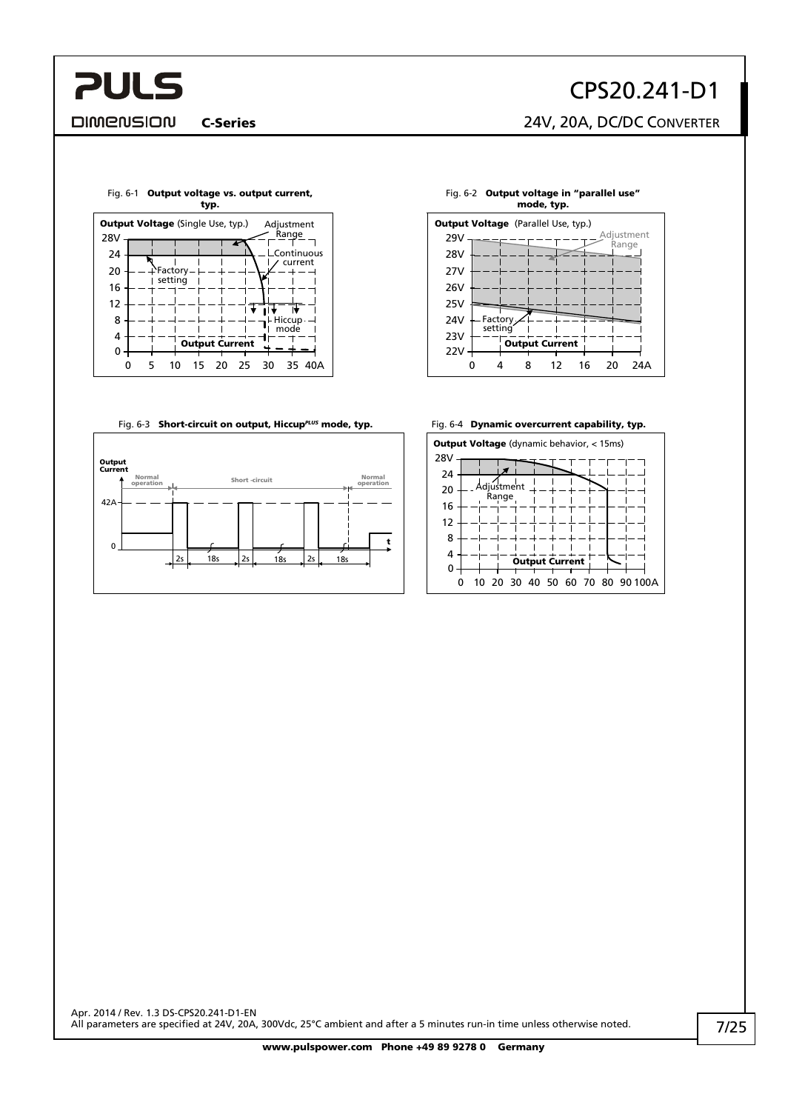# CPS20.241-D1

C-Series 24V, 20A, DC/DC CONVERTER

**DIMENSION** 

**PULS** 

<span id="page-6-0"></span>



Fig. 6-3 **Short-circuit on output, Hiccup<sup>pLUS</sup> mode, typ.** Fig. 6-4 **Dynamic overcurrent capability, typ.** 

<span id="page-6-1"></span>



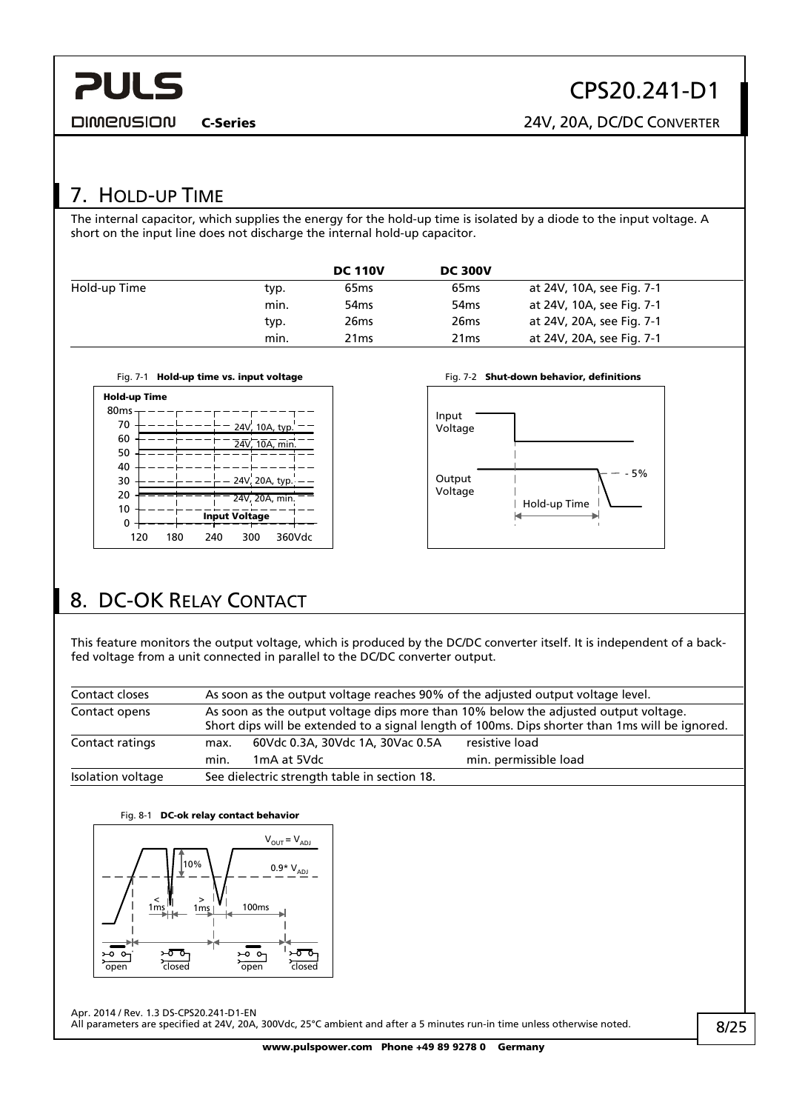<span id="page-7-0"></span>**PULS DIMENSION** 

C-Series 24V, 20A, DC/DC CONVERTER

## 7. HOLD-UP TIME

The internal capacitor, which supplies the energy for the hold-up time is isolated by a diode to the input voltage. A short on the input line does not discharge the internal hold-up capacitor.

|              |      | <b>DC 110V</b>   | <b>DC 300V</b>   |                           |
|--------------|------|------------------|------------------|---------------------------|
| Hold-up Time | typ. | 65 <sub>ms</sub> | 65 <sub>ms</sub> | at 24V, 10A, see Fig. 7-1 |
|              | min. | 54 <sub>ms</sub> | 54 <sub>ms</sub> | at 24V, 10A, see Fig. 7-1 |
|              | typ. | 26 <sub>ms</sub> | 26 <sub>ms</sub> | at 24V, 20A, see Fig. 7-1 |
|              | min. | 21 <sub>ms</sub> | 21 <sub>ms</sub> | at 24V, 20A, see Fig. 7-1 |

<span id="page-7-1"></span>



# <span id="page-7-2"></span>8. DC-OK RELAY CONTACT

This feature monitors the output voltage, which is produced by the DC/DC converter itself. It is independent of a backfed voltage from a unit connected in parallel to the DC/DC converter output.

| Contact closes    | As soon as the output voltage reaches 90% of the adjusted output voltage level.                                                                                                        |  |  |  |  |
|-------------------|----------------------------------------------------------------------------------------------------------------------------------------------------------------------------------------|--|--|--|--|
| Contact opens     | As soon as the output voltage dips more than 10% below the adjusted output voltage.<br>Short dips will be extended to a signal length of 100ms. Dips shorter than 1ms will be ignored. |  |  |  |  |
| Contact ratings   | 60Vdc 0.3A, 30Vdc 1A, 30Vac 0.5A<br>resistive load<br>max.<br>min. permissible load<br>1mA at 5Vdc<br>min.                                                                             |  |  |  |  |
| Isolation voltage | See dielectric strength table in section 18.                                                                                                                                           |  |  |  |  |



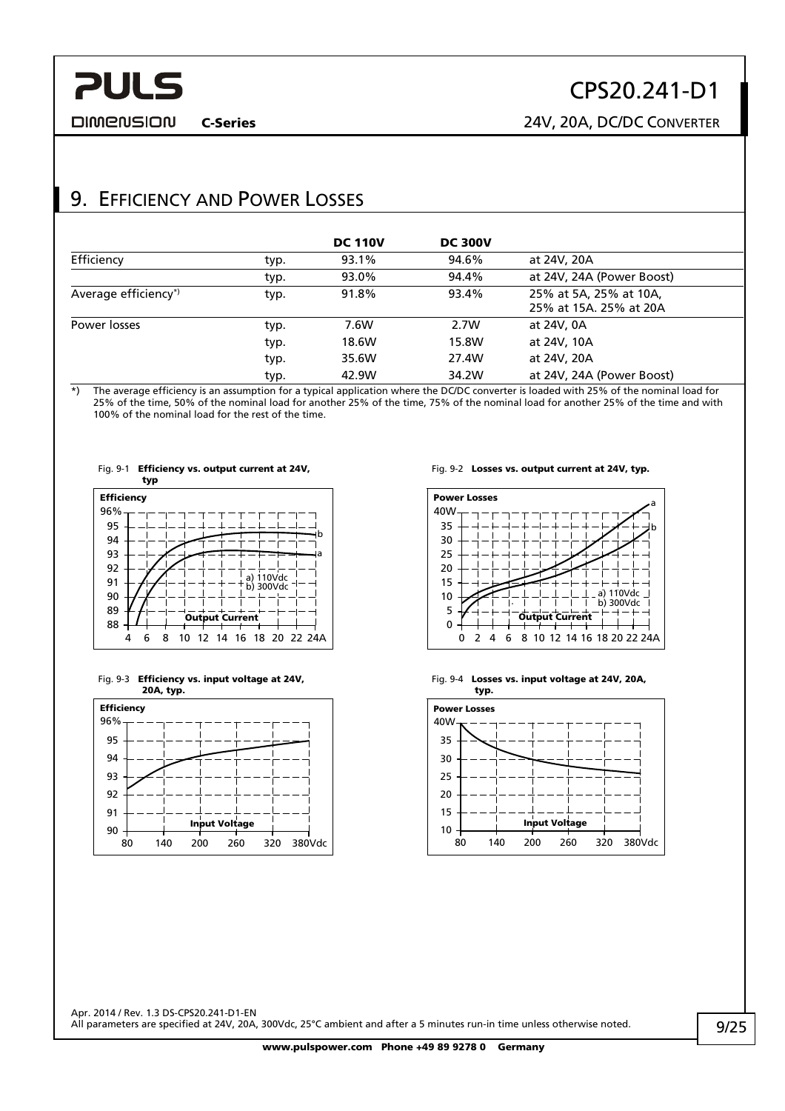<span id="page-8-0"></span>**DIMENSION** 

# CPS20.241-D1

C-Series 24V, 20A, DC/DC CONVERTER

## 9. EFFICIENCY AND POWER LOSSES

|                      |      | <b>DC 110V</b> | <b>DC 300V</b> |                                                  |
|----------------------|------|----------------|----------------|--------------------------------------------------|
| Efficiency           | typ. | 93.1%          | 94.6%          | at 24V, 20A                                      |
|                      | typ. | 93.0%          | 94.4%          | at 24V, 24A (Power Boost)                        |
| Average efficiency*) | typ. | 91.8%          | 93.4%          | 25% at 5A, 25% at 10A,<br>25% at 15A, 25% at 20A |
| Power losses         | typ. | 7.6W           | 2.7W           | at 24V, 0A                                       |
|                      | typ. | 18.6W          | 15.8W          | at 24V, 10A                                      |
|                      | typ. | 35.6W          | 27.4W          | at 24V, 20A                                      |
|                      | typ. | 42.9W          | 34.2W          | at 24V, 24A (Power Boost)                        |

\*) The average efficiency is an assumption for a typical application where the DC/DC converter is loaded with 25% of the nominal load for 25% of the time, 50% of the nominal load for another 25% of the time, 75% of the nominal load for another 25% of the time and with 100% of the nominal load for the rest of the time.









Fig. 9-2 Losses vs. output current at 24V, typ.



Fig. 9-4 Losses vs. input voltage at 24V, 20A,

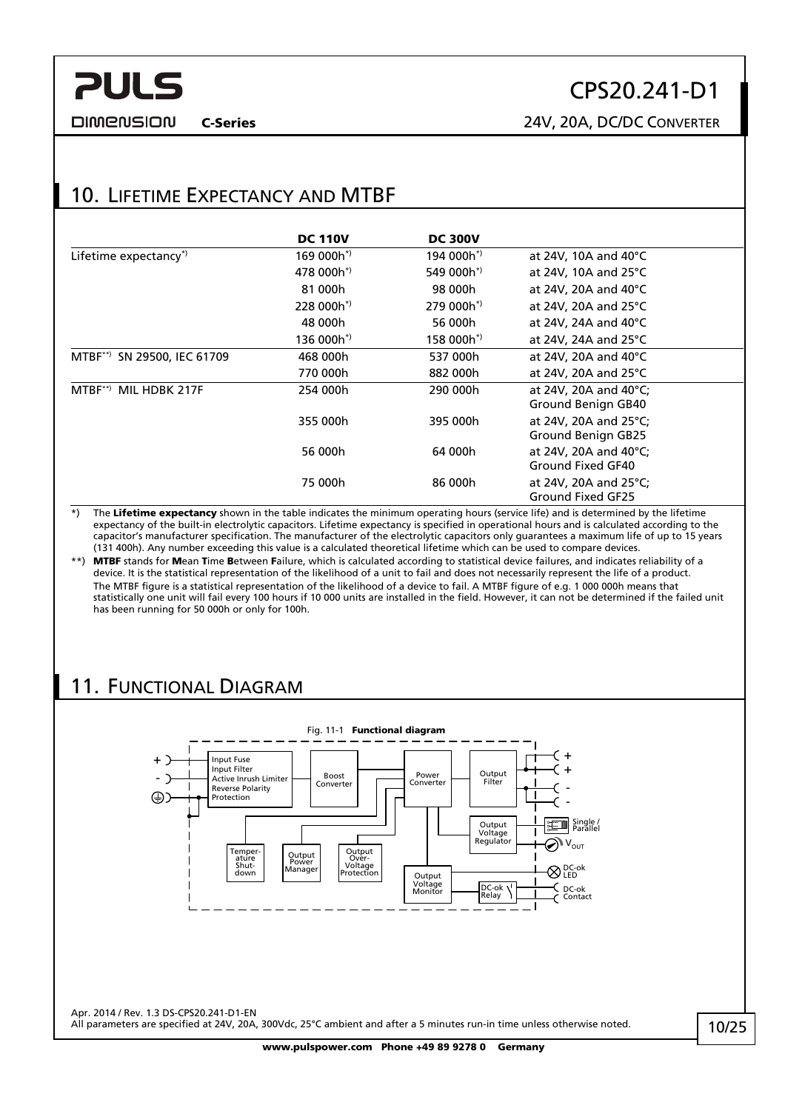#### <span id="page-9-0"></span>**DIMENSION**

# CPS20.241-D1

C-Series 24V, 20A, DC/DC CONVERTER

## 10. LIFETIME EXPECTANCY AND MTBF

|                                        | <b>DC 110V</b>         | <b>DC 300V</b> |                                                       |
|----------------------------------------|------------------------|----------------|-------------------------------------------------------|
| Lifetime expectancy*)                  | $169000h^*$            | $194000h^*$    | at 24V, 10A and 40 $^{\circ}$ C                       |
|                                        | 478 000h*)             | 549 000h*)     | at 24V, 10A and 25 $\degree$ C                        |
|                                        | 81 000h                | 98 000h        | at 24V, 20A and 40 $^{\circ}$ C                       |
|                                        | 228 000h <sup>*</sup>  | $279000h^*$    | at 24V, 20A and 25 $\degree$ C                        |
|                                        | 48 000h                | 56 000h        | at 24V, 24A and 40 $^{\circ}$ C                       |
|                                        | 136 000h <sup>*)</sup> | $158000h^*$    | at 24V, 24A and 25 $\degree$ C                        |
| MTBF <sup>**</sup> SN 29500, IEC 61709 | 468 000h               | 537 000h       | at 24V, 20A and 40 $\degree$ C                        |
|                                        | 770 000h               | 882 000h       | at 24V, 20A and 25 $\degree$ C                        |
| MTBF**) MIL HDBK 217F                  | 254 000h               | 290 000h       | at 24V, 20A and 40°C;<br>Ground Benign GB40           |
|                                        | 355 000h               | 395 000h       | at 24V, 20A and 25°C;<br>Ground Benign GB25           |
|                                        | 56 000h                | 64 000h        | at 24V, 20A and 40 $^{\circ}$ C;<br>Ground Fixed GF40 |
|                                        | 75 000h                | 86 000h        | at 24V, 20A and 25 $^{\circ}$ C;<br>Ground Fixed GF25 |

\*) The Lifetime expectancy shown in the table indicates the minimum operating hours (service life) and is determined by the lifetime expectancy of the built-in electrolytic capacitors. Lifetime expectancy is specified in operational hours and is calculated according to the capacitor's manufacturer specification. The manufacturer of the electrolytic capacitors only guarantees a maximum life of up to 15 years (131 400h). Any number exceeding this value is a calculated theoretical lifetime which can be used to compare devices.

\*\*) MTBF stands for Mean Time Between Failure, which is calculated according to statistical device failures, and indicates reliability of a device. It is the statistical representation of the likelihood of a unit to fail and does not necessarily represent the life of a product. The MTBF figure is a statistical representation of the likelihood of a device to fail. A MTBF figure of e.g. 1 000 000h means that statistically one unit will fail every 100 hours if 10 000 units are installed in the field. However, it can not be determined if the failed unit has been running for 50 000h or only for 100h.

## 11. FUNCTIONAL DIAGRAM

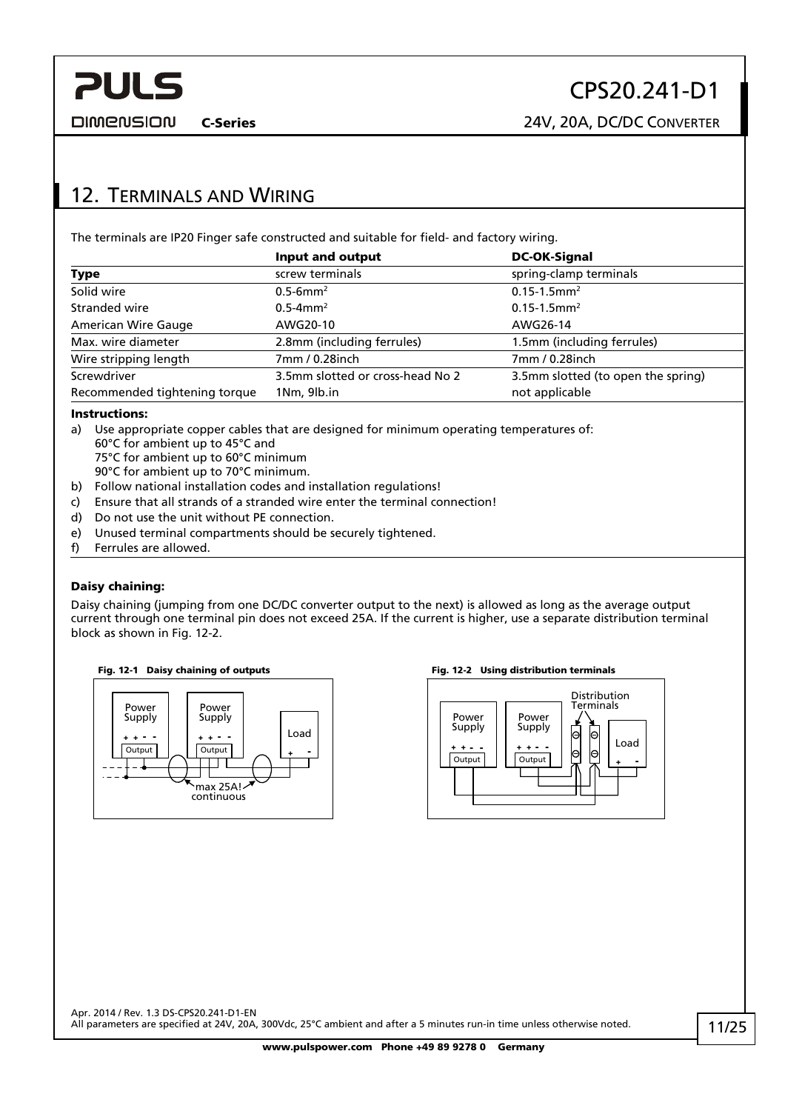C-Series 24V, 20A, DC/DC CONVERTER

## <span id="page-10-0"></span>12. TERMINALS AND WIRING

The terminals are IP20 Finger safe constructed and suitable for field- and factory wiring.

|                               | Input and output                                                       | <b>DC-OK-Signal</b>          |
|-------------------------------|------------------------------------------------------------------------|------------------------------|
| Type                          | screw terminals                                                        | spring-clamp terminals       |
| Solid wire                    | $0.5 - 6$ mm <sup>2</sup>                                              | $0.15 - 1.5$ mm <sup>2</sup> |
| Stranded wire                 | $0.5 - 4$ mm <sup>2</sup>                                              | $0.15 - 1.5$ mm <sup>2</sup> |
| <b>American Wire Gauge</b>    | AWG20-10                                                               | AWG26-14                     |
| Max. wire diameter            | 2.8mm (including ferrules)                                             | 1.5mm (including ferrules)   |
| Wire stripping length         | 7mm / 0.28inch                                                         | 7mm / 0.28inch               |
| Screwdriver                   | 3.5mm slotted or cross-head No 2<br>3.5mm slotted (to open the spring) |                              |
| Recommended tightening torque | 1Nm, 9lb.in                                                            | not applicable               |

#### Instructions:

- a) Use appropriate copper cables that are designed for minimum operating temperatures of: 60°C for ambient up to 45°C and
	- 75°C for ambient up to 60°C minimum
	- 90°C for ambient up to 70°C minimum.
- b) Follow national installation codes and installation regulations!
- c) Ensure that all strands of a stranded wire enter the terminal connection!
- d) Do not use the unit without PE connection.
- e) Unused terminal compartments should be securely tightened.
- f) Ferrules are allowed.

#### Daisy chaining:

Daisy chaining (jumping from one DC/DC converter output to the next) is allowed as long as the average output current through one terminal pin does not exceed 25A. If the current is higher, use a separate distribution terminal block as shown in [Fig. 12-2.](#page-10-1)

<span id="page-10-1"></span>



#### Fig. 12-1 Daisy chaining of outputs Fig. 12-2 Using distribution terminals

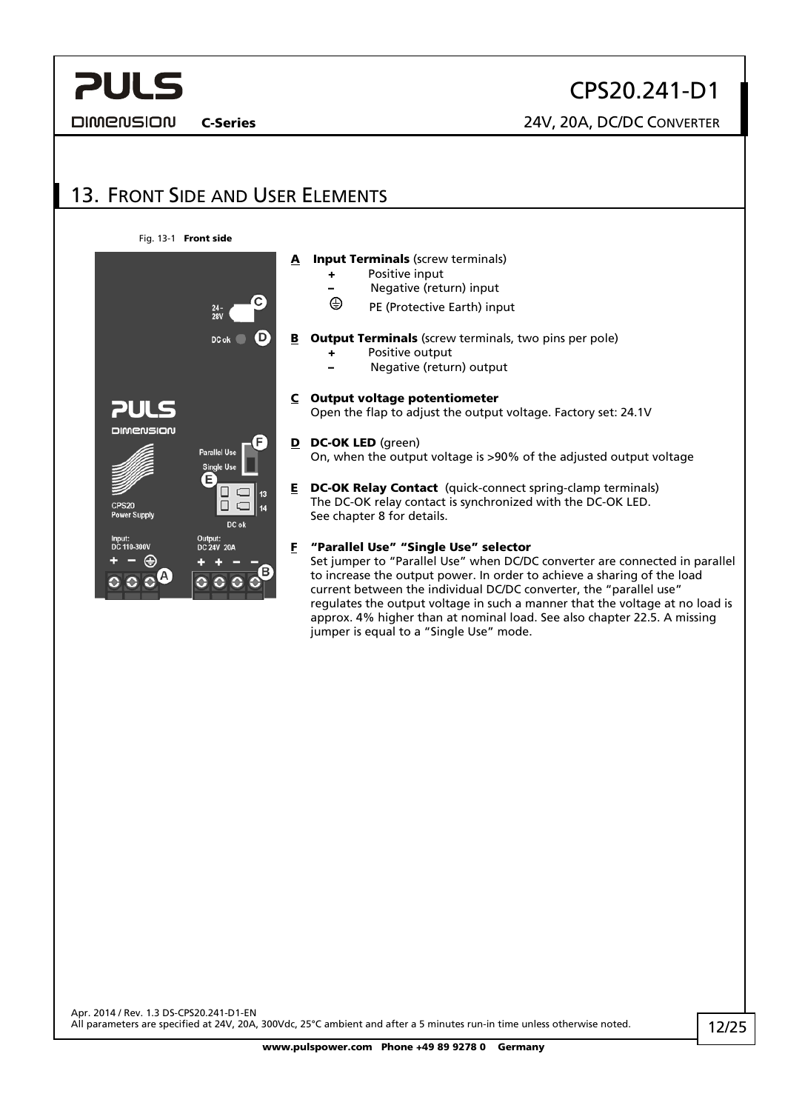<span id="page-11-0"></span>**DIMENSION** 

CPS20.241-D1

C-Series 24V, 20A, DC/DC CONVERTER

# 13. FRONT SIDE AND USER ELEMENTS

Fig. 13-1 Front side



approx. 4% higher than at nominal load. See also chapter [22.5.](#page-21-1) A missing

jumper is equal to a "Single Use" mode.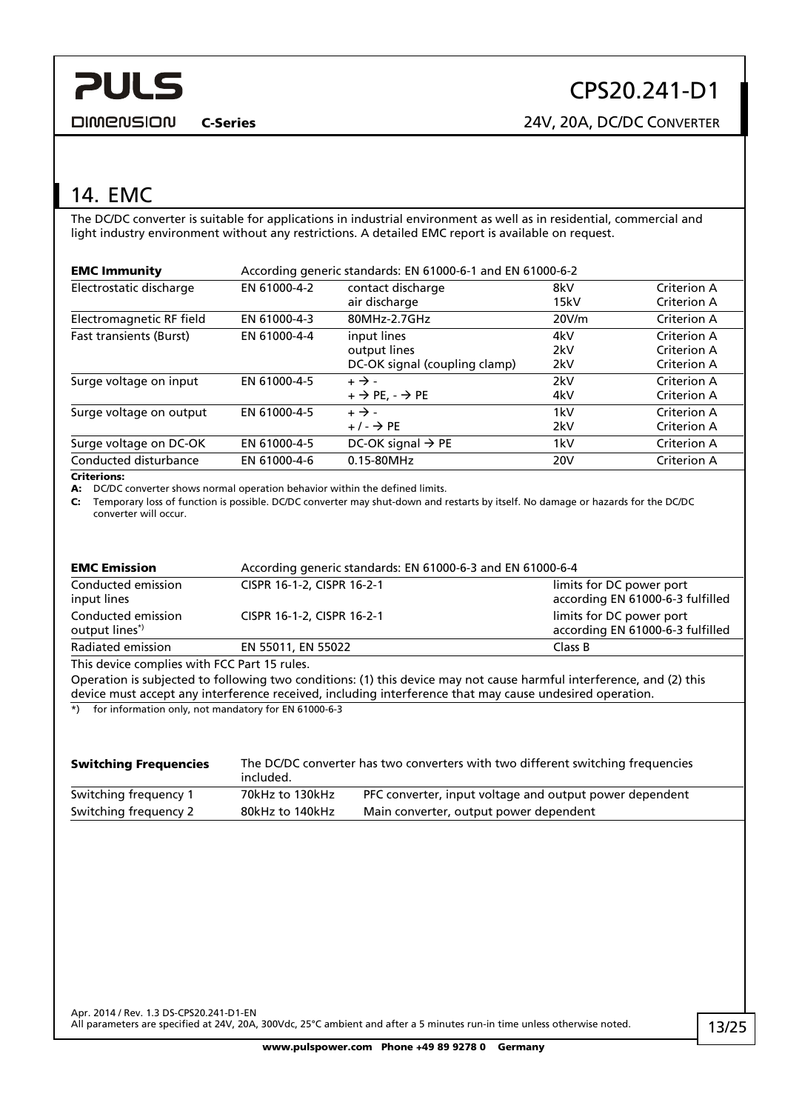<span id="page-12-0"></span>**DIMENSION** 

C-Series 24V, 20A, DC/DC CONVERTER

## 14. EMC

The DC/DC converter is suitable for applications in industrial environment as well as in residential, commercial and light industry environment without any restrictions. A detailed EMC report is available on request.

| <b>EMC Immunity</b>      | According generic standards: EN 61000-6-1 and EN 61000-6-2 |                                                              |                   |                                           |
|--------------------------|------------------------------------------------------------|--------------------------------------------------------------|-------------------|-------------------------------------------|
| Electrostatic discharge  | EN 61000-4-2                                               | contact discharge<br>air discharge                           | 8kV<br>15kV       | <b>Criterion A</b><br><b>Criterion A</b>  |
| Electromagnetic RF field | EN 61000-4-3                                               | 80MHz-2.7GHz                                                 | 20V/m             | Criterion A                               |
| Fast transients (Burst)  | EN 61000-4-4                                               | input lines<br>output lines<br>DC-OK signal (coupling clamp) | 4kV<br>2kV<br>2kV | Criterion A<br>Criterion A<br>Criterion A |
| Surge voltage on input   | EN 61000-4-5                                               | $+ \rightarrow -$<br>$+$ $\rightarrow$ PE, $ \rightarrow$ PE | 2kV<br>4kV        | Criterion A<br><b>Criterion A</b>         |
| Surge voltage on output  | EN 61000-4-5                                               | $+ \rightarrow -$<br>$+/ \rightarrow$ PE                     | 1kV<br>2kV        | Criterion A<br><b>Criterion A</b>         |
| Surge voltage on DC-OK   | EN 61000-4-5                                               | DC-OK signal $\rightarrow$ PE                                | 1kV               | Criterion A                               |
| Conducted disturbance    | EN 61000-4-6                                               | 0.15-80MHz                                                   | 20 <sub>V</sub>   | <b>Criterion A</b>                        |

#### Criterions:

A: DC/DC converter shows normal operation behavior within the defined limits.

C: Temporary loss of function is possible. DC/DC converter may shut-down and restarts by itself. No damage or hazards for the DC/DC converter will occur.

| <b>EMC Emission</b>                          | According generic standards: EN 61000-6-3 and EN 61000-6-4                                                                                                                                                                       |                                                              |  |
|----------------------------------------------|----------------------------------------------------------------------------------------------------------------------------------------------------------------------------------------------------------------------------------|--------------------------------------------------------------|--|
| Conducted emission<br>input lines            | CISPR 16-1-2, CISPR 16-2-1                                                                                                                                                                                                       | limits for DC power port<br>according EN 61000-6-3 fulfilled |  |
| Conducted emission<br>output lines*)         | CISPR 16-1-2, CISPR 16-2-1                                                                                                                                                                                                       | limits for DC power port<br>according EN 61000-6-3 fulfilled |  |
| Radiated emission                            | EN 55011, EN 55022                                                                                                                                                                                                               | Class B                                                      |  |
| This device complies with FCC Part 15 rules. |                                                                                                                                                                                                                                  |                                                              |  |
|                                              | Operation is subjected to following two conditions: (1) this device may not cause harmful interference, and (2) this<br>device must accept any interference received, including interference that may cause undesired operation. |                                                              |  |

\*) for information only, not mandatory for EN 61000-6-3

| <b>Switching Frequencies</b> | The DC/DC converter has two converters with two different switching frequencies<br>included. |                                                         |  |
|------------------------------|----------------------------------------------------------------------------------------------|---------------------------------------------------------|--|
| Switching frequency 1        | 70kHz to 130kHz                                                                              | PFC converter, input voltage and output power dependent |  |
| Switching frequency 2        | 80kHz to 140kHz                                                                              | Main converter, output power dependent                  |  |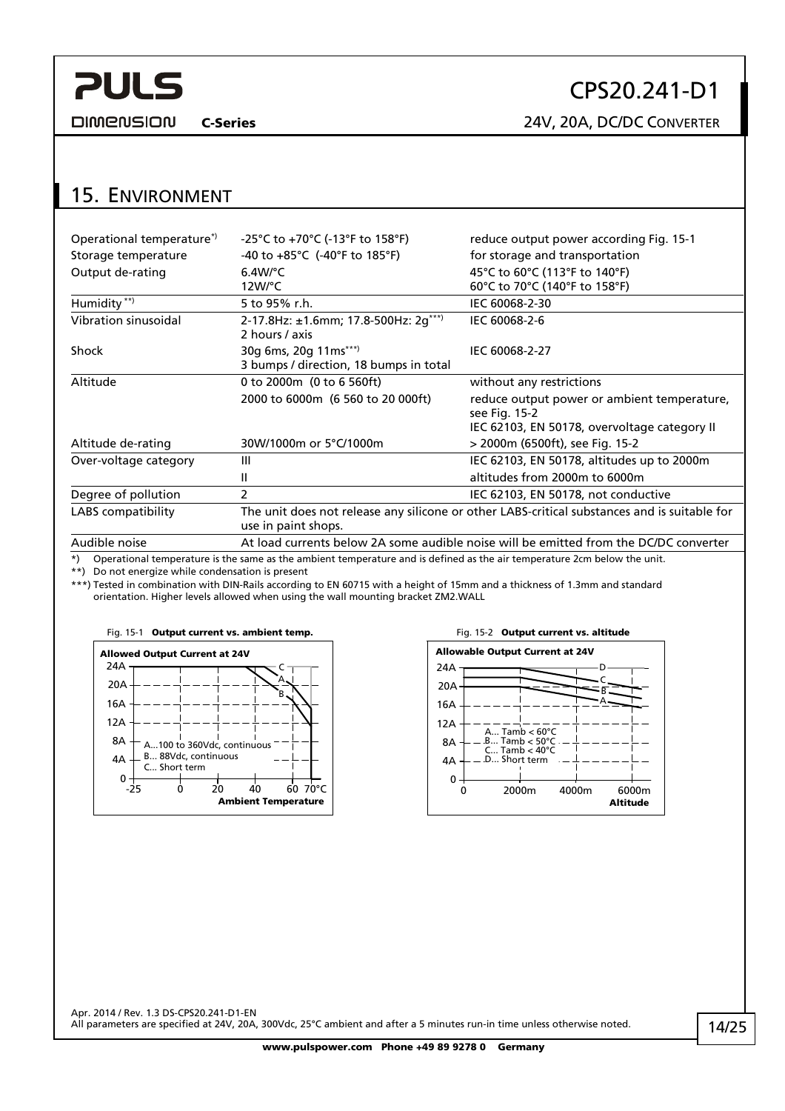<span id="page-13-0"></span>**DIMENSION** 

# CPS20.241-D1

C-Series 24V, 20A, DC/DC CONVERTER

## 15. ENVIRONMENT

| Operational temperature <sup>*</sup> | -25°C to +70°C (-13°F to 158°F)                                                       | reduce output power according Fig. 15-1                                                      |  |
|--------------------------------------|---------------------------------------------------------------------------------------|----------------------------------------------------------------------------------------------|--|
| Storage temperature                  | -40 to $+85^{\circ}$ C (-40°F to 185°F)                                               | for storage and transportation                                                               |  |
| Output de-rating                     | $6.4W$ <sup>o</sup> C                                                                 | 45°C to 60°C (113°F to 140°F)                                                                |  |
|                                      | 12W/°C                                                                                | 60°C to 70°C (140°F to 158°F)                                                                |  |
| Humidity **)                         | 5 to 95% r.h.                                                                         | IEC 60068-2-30                                                                               |  |
| Vibration sinusoidal                 | 2-17.8Hz: ±1.6mm; 17.8-500Hz: 2g***)<br>2 hours / axis                                | IEC 60068-2-6                                                                                |  |
| Shock                                | 30g 6ms, 20g 11ms***)                                                                 | IEC 60068-2-27                                                                               |  |
|                                      | 3 bumps / direction, 18 bumps in total                                                |                                                                                              |  |
| Altitude                             | 0 to 2000m (0 to 6 560ft)                                                             | without any restrictions                                                                     |  |
|                                      | 2000 to 6000m (6 560 to 20 000ft)                                                     | reduce output power or ambient temperature,<br>see Fig. 15-2                                 |  |
|                                      |                                                                                       | IEC 62103, EN 50178, overvoltage category II                                                 |  |
| Altitude de-rating                   | 30W/1000m or 5°C/1000m                                                                | > 2000m (6500ft), see Fig. 15-2                                                              |  |
| Over-voltage category                | Ш                                                                                     | IEC 62103, EN 50178, altitudes up to 2000m                                                   |  |
|                                      | Ш                                                                                     | altitudes from 2000m to 6000m                                                                |  |
| Degree of pollution                  | 2                                                                                     | IEC 62103, EN 50178, not conductive                                                          |  |
| LABS compatibility                   | use in paint shops.                                                                   | The unit does not release any silicone or other LABS-critical substances and is suitable for |  |
| Audible noise                        | At load currents below 2A some audible noise will be emitted from the DC/DC converter |                                                                                              |  |
| $\sim$ $\sim$ $\sim$                 |                                                                                       |                                                                                              |  |

\*) Operational temperature is the same as the ambient temperature and is defined as the air temperature 2cm below the unit.

\*\*) Do not energize while condensation is present

\*\*\*) Tested in combination with DIN-Rails according to EN 60715 with a height of 15mm and a thickness of 1.3mm and standard orientation. Higher levels allowed when using the wall mounting bracket ZM2.WALL

<span id="page-13-1"></span>

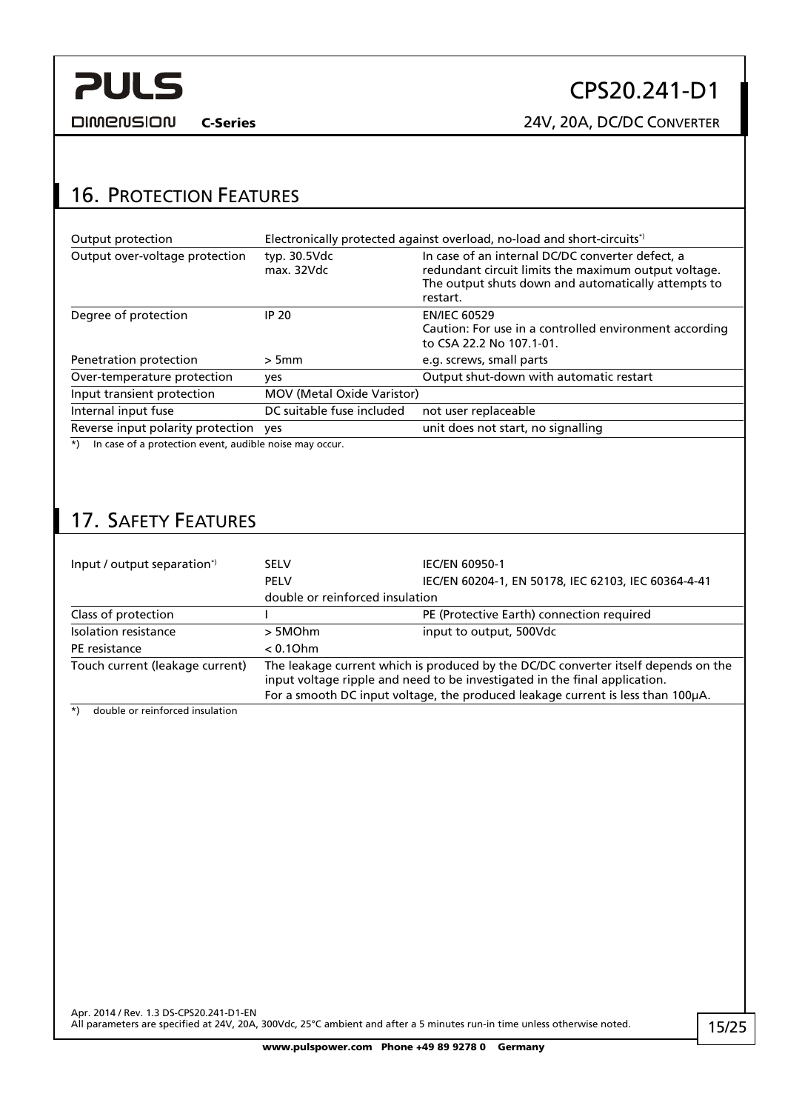<span id="page-14-0"></span>

# CPS20.241-D1

C-Series 24V, 20A, DC/DC CONVERTER

## 16. PROTECTION FEATURES

| Output protection                                                 |                            | Electronically protected against overload, no-load and short-circuits*)                                                                                                     |
|-------------------------------------------------------------------|----------------------------|-----------------------------------------------------------------------------------------------------------------------------------------------------------------------------|
| Output over-voltage protection                                    | typ. 30.5Vdc<br>max. 32Vdc | In case of an internal DC/DC converter defect, a<br>redundant circuit limits the maximum output voltage.<br>The output shuts down and automatically attempts to<br>restart. |
| Degree of protection                                              | <b>IP 20</b>               | <b>EN/IEC 60529</b><br>Caution: For use in a controlled environment according<br>to CSA 22.2 No 107.1-01.                                                                   |
| Penetration protection                                            | $>5$ mm                    | e.g. screws, small parts                                                                                                                                                    |
| Over-temperature protection                                       | yes                        | Output shut-down with automatic restart                                                                                                                                     |
| Input transient protection                                        | MOV (Metal Oxide Varistor) |                                                                                                                                                                             |
| Internal input fuse                                               | DC suitable fuse included  | not user replaceable                                                                                                                                                        |
| Reverse input polarity protection yes                             |                            | unit does not start, no signalling                                                                                                                                          |
| In case of a protection event, audible noise may occur.<br>$^{*}$ |                            |                                                                                                                                                                             |

## 17. SAFETY FEATURES

| Input / output separation <sup>*</sup> | <b>SELV</b><br><b>PELV</b>                                                                                                                                                                                                                          | <b>IEC/EN 60950-1</b><br>IEC/EN 60204-1, EN 50178, IEC 62103, IEC 60364-4-41 |
|----------------------------------------|-----------------------------------------------------------------------------------------------------------------------------------------------------------------------------------------------------------------------------------------------------|------------------------------------------------------------------------------|
|                                        | double or reinforced insulation                                                                                                                                                                                                                     |                                                                              |
| Class of protection                    |                                                                                                                                                                                                                                                     | PE (Protective Earth) connection required                                    |
| Isolation resistance                   | > 5MOhm                                                                                                                                                                                                                                             | input to output, 500Vdc                                                      |
| PE resistance                          | $< 0.10$ hm                                                                                                                                                                                                                                         |                                                                              |
| Touch current (leakage current)        | The leakage current which is produced by the DC/DC converter itself depends on the<br>input voltage ripple and need to be investigated in the final application.<br>For a smooth DC input voltage, the produced leakage current is less than 100µA. |                                                                              |

\*) double or reinforced insulation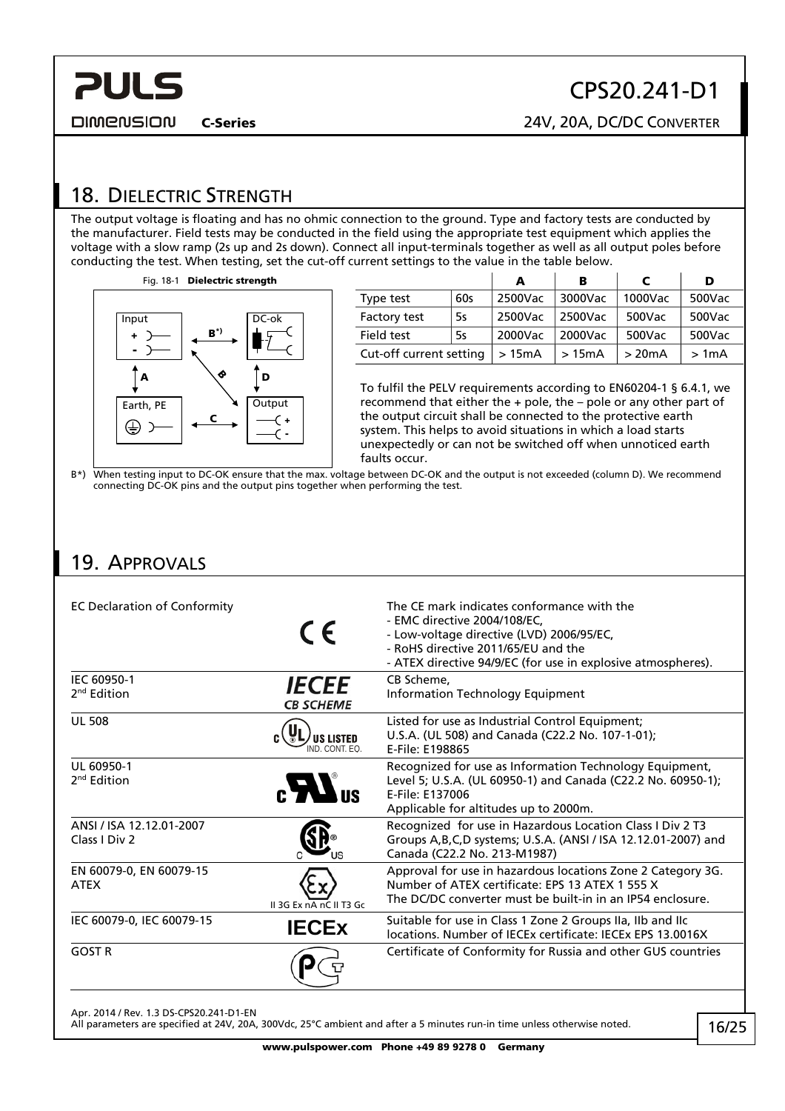<span id="page-15-0"></span>C-Series 24V, 20A, DC/DC CONVERTER **DIMENSION** 

## <span id="page-15-1"></span>18. DIELECTRIC STRENGTH

The output voltage is floating and has no ohmic connection to the ground. Type and factory tests are conducted by the manufacturer. Field tests may be conducted in the field using the appropriate test equipment which applies the voltage with a slow ramp (2s up and 2s down). Connect all input-terminals together as well as all output poles before conducting the test. When testing, set the cut-off current settings to the value in the table below.



|                         |     | А       | в       |         | D      |
|-------------------------|-----|---------|---------|---------|--------|
| Type test               | 60s | 2500Vac | 3000Vac | 1000Vac | 500Vac |
| Factory test            | 5s  | 2500Vac | 2500Vac | 500Vac  | 500Vac |
| Field test              | 5s  | 2000Vac | 2000Vac | 500Vac  | 500Vac |
| Cut-off current setting |     | >15mA   | >15mA   | >20mA   | >1mA   |

CPS20.241-D1

To fulfil the PELV requirements according to EN60204-1 § 6.4.1, we recommend that either the + pole, the – pole or any other part of the output circuit shall be connected to the protective earth system. This helps to avoid situations in which a load starts unexpectedly or can not be switched off when unnoticed earth faults occur.

B\*) When testing input to DC-OK ensure that the max. voltage between DC-OK and the output is not exceeded (column D). We recommend connecting DC-OK pins and the output pins together when performing the test.

### 19. APPROVALS

| <b>EC Declaration of Conformity</b>       | CE                               | The CE mark indicates conformance with the<br>- EMC directive 2004/108/EC.<br>- Low-voltage directive (LVD) 2006/95/EC,<br>- RoHS directive 2011/65/EU and the<br>- ATEX directive 94/9/EC (for use in explosive atmospheres). |
|-------------------------------------------|----------------------------------|--------------------------------------------------------------------------------------------------------------------------------------------------------------------------------------------------------------------------------|
| IEC 60950-1<br>2 <sup>nd</sup> Edition    | <b>IECEE</b><br><b>CB SCHEME</b> | CB Scheme,<br>Information Technology Equipment                                                                                                                                                                                 |
| <b>UL 508</b>                             | <b>US LISTED</b><br>IND CONT FO  | Listed for use as Industrial Control Equipment;<br>U.S.A. (UL 508) and Canada (C22.2 No. 107-1-01);<br>E-File: E198865                                                                                                         |
| UL 60950-1<br>2 <sup>nd</sup> Edition     | $\mathbf{c}$ $\mathbf{M}$ is     | Recognized for use as Information Technology Equipment,<br>Level 5; U.S.A. (UL 60950-1) and Canada (C22.2 No. 60950-1);<br>E-File: E137006<br>Applicable for altitudes up to 2000m.                                            |
| ANSI / ISA 12.12.01-2007<br>Class I Div 2 |                                  | Recognized for use in Hazardous Location Class I Div 2 T3<br>Groups A, B, C, D systems; U.S.A. (ANSI / ISA 12.12.01-2007) and<br>Canada (C22.2 No. 213-M1987)                                                                  |
| EN 60079-0, EN 60079-15<br><b>ATEX</b>    | II 3G Ex nA nC II T3 Gc          | Approval for use in hazardous locations Zone 2 Category 3G.<br>Number of ATEX certificate: EPS 13 ATEX 1 555 X<br>The DC/DC converter must be built-in in an IP54 enclosure.                                                   |
| IEC 60079-0, IEC 60079-15                 | <b>IECEX</b>                     | Suitable for use in Class 1 Zone 2 Groups IIa, IIb and IIc<br>locations. Number of IECEx certificate: IECEx EPS 13,0016X                                                                                                       |
| <b>GOST R</b>                             |                                  | Certificate of Conformity for Russia and other GUS countries                                                                                                                                                                   |

Apr. 2014 / Rev. 1.3 DS-CPS20.241-D1-EN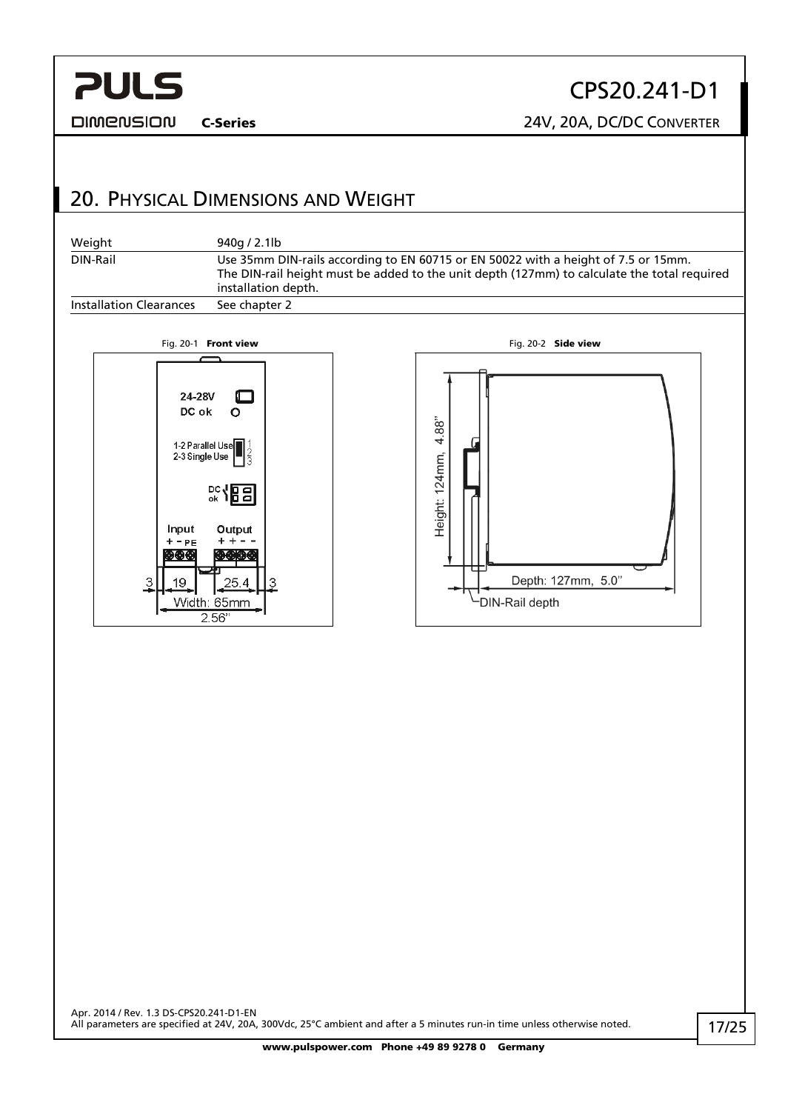<span id="page-16-0"></span>**DIMENSION** 

# CPS20.241-D1

C-Series 24V, 20A, DC/DC CONVERTER

## 20. PHYSICAL DIMENSIONS AND WEIGHT

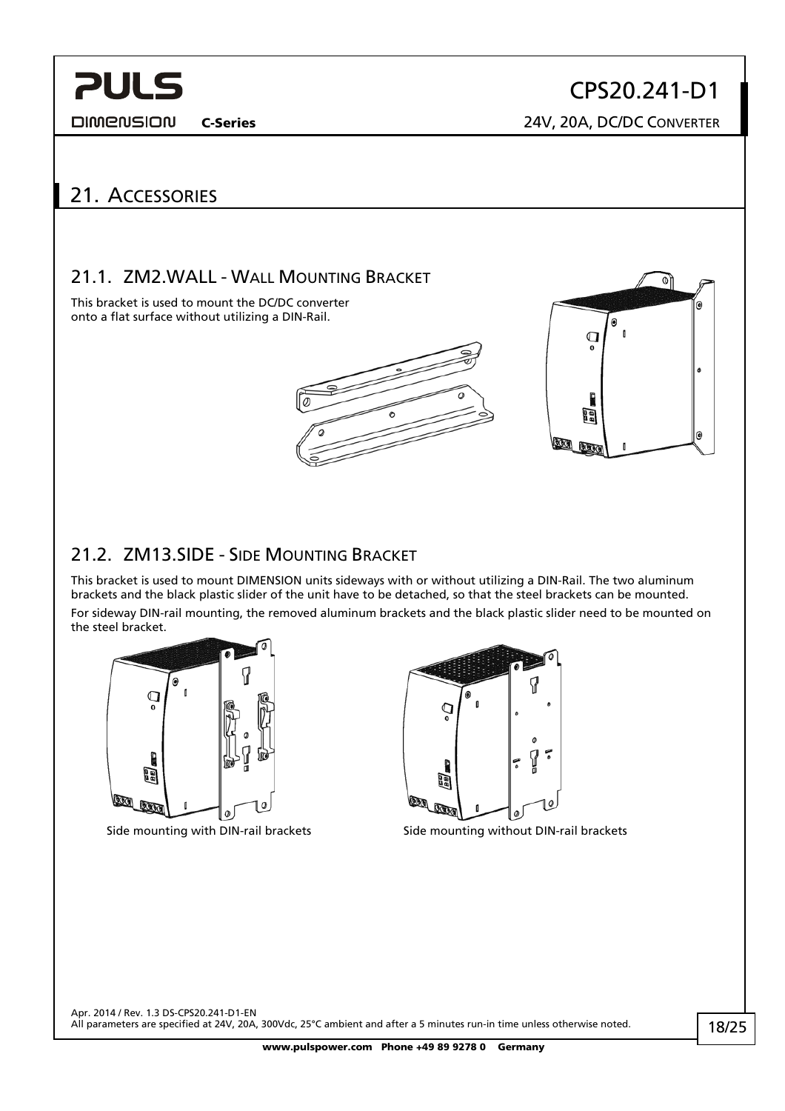<span id="page-17-0"></span>**DIMENSION** 

CPS20.241-D1

C-Series 24V, 20A, DC/DC CONVERTER

## 21. ACCESSORIES

### 21.1. ZM2.WALL - WALL MOUNTING BRACKET

This bracket is used to mount the DC/DC converter onto a flat surface without utilizing a DIN-Rail.





### 21.2. ZM13.SIDE - SIDE MOUNTING BRACKET

This bracket is used to mount DIMENSION units sideways with or without utilizing a DIN-Rail. The two aluminum brackets and the black plastic slider of the unit have to be detached, so that the steel brackets can be mounted. For sideway DIN-rail mounting, the removed aluminum brackets and the black plastic slider need to be mounted on the steel bracket.





Side mounting with DIN-rail brackets Side mounting without DIN-rail brackets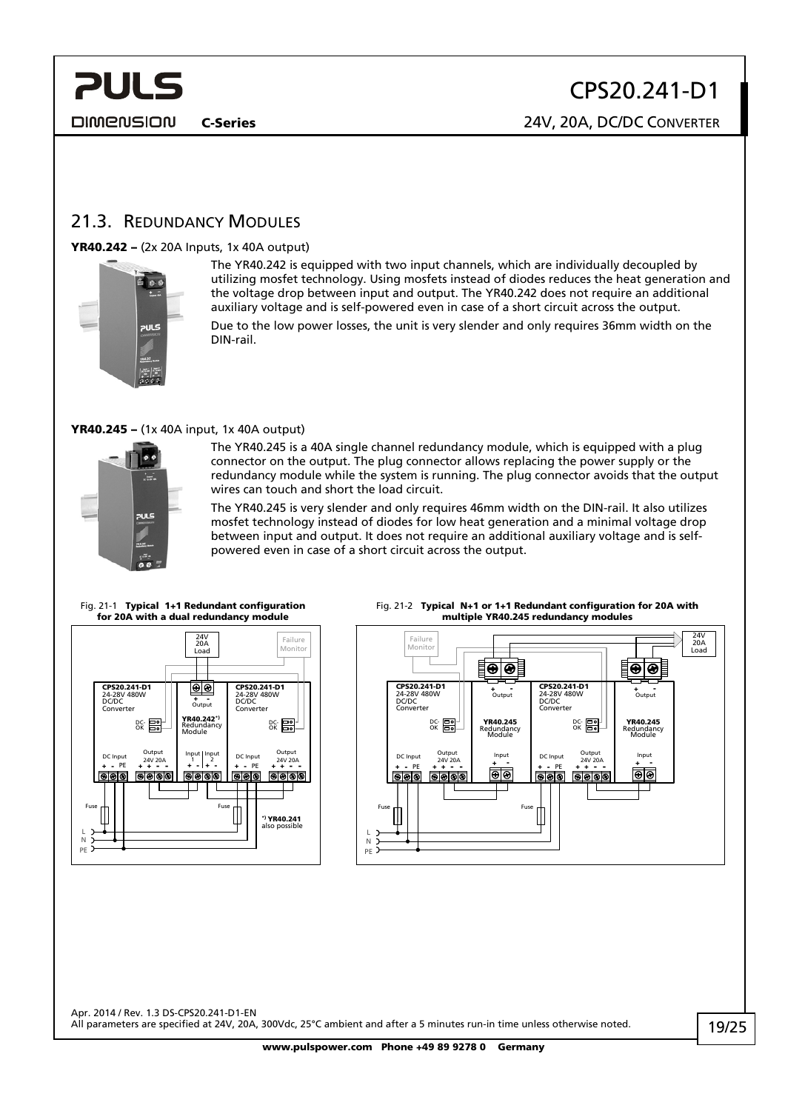<span id="page-18-0"></span>**DIMENSION** 

C-Series 24V, 20A, DC/DC CONVERTER

### <span id="page-18-1"></span>21.3. REDUNDANCY MODULES

#### YR40.242 – (2x 20A Inputs, 1x 40A output)



The YR40.242 is equipped with two input channels, which are individually decoupled by utilizing mosfet technology. Using mosfets instead of diodes reduces the heat generation and the voltage drop between input and output. The YR40.242 does not require an additional auxiliary voltage and is self-powered even in case of a short circuit across the output. Due to the low power losses, the unit is very slender and only requires 36mm width on the DIN-rail.

#### YR40.245 – (1x 40A input, 1x 40A output)



The YR40.245 is a 40A single channel redundancy module, which is equipped with a plug connector on the output. The plug connector allows replacing the power supply or the redundancy module while the system is running. The plug connector avoids that the output wires can touch and short the load circuit.

The YR40.245 is very slender and only requires 46mm width on the DIN-rail. It also utilizes mosfet technology instead of diodes for low heat generation and a minimal voltage drop between input and output. It does not require an additional auxiliary voltage and is selfpowered even in case of a short circuit across the output.

Fig. 21-1 Typical 1+1 Redundant configuration for 20A with a dual redundancy module



#### Fig. 21-2 Typical N+1 or 1+1 Redundant configuration for 20A with multiple YR40.245 redundancy modules

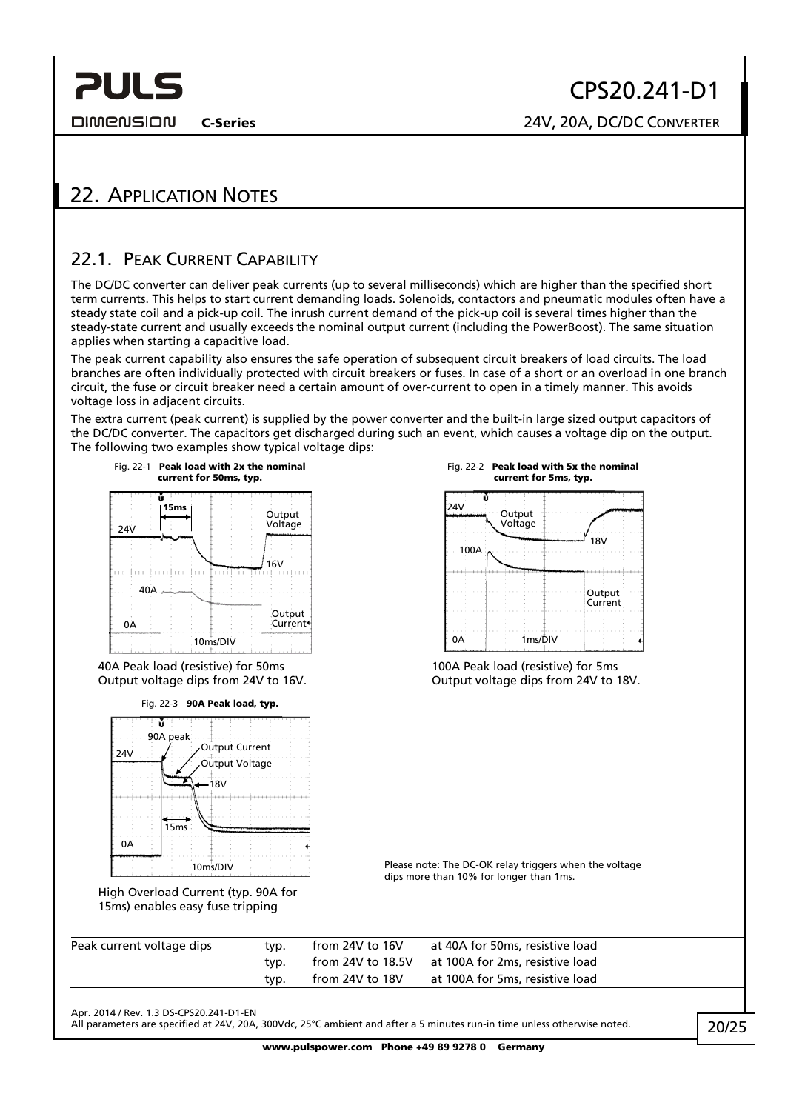<span id="page-19-0"></span>**DIMENSION** 

CPS20.241-D1

C-Series 24V, 20A, DC/DC CONVERTER

## 22. APPLICATION NOTES

### <span id="page-19-1"></span>22.1. PEAK CURRENT CAPABILITY

The DC/DC converter can deliver peak currents (up to several milliseconds) which are higher than the specified short term currents. This helps to start current demanding loads. Solenoids, contactors and pneumatic modules often have a steady state coil and a pick-up coil. The inrush current demand of the pick-up coil is several times higher than the steady-state current and usually exceeds the nominal output current (including the PowerBoost). The same situation applies when starting a capacitive load.

The peak current capability also ensures the safe operation of subsequent circuit breakers of load circuits. The load branches are often individually protected with circuit breakers or fuses. In case of a short or an overload in one branch circuit, the fuse or circuit breaker need a certain amount of over-current to open in a timely manner. This avoids voltage loss in adjacent circuits.

The extra current (peak current) is supplied by the power converter and the built-in large sized output capacitors of the DC/DC converter. The capacitors get discharged during such an event, which causes a voltage dip on the output. The following two examples show typical voltage dips:



Apr. 2014 / Rev. 1.3 DS-CPS20.241-D1-EN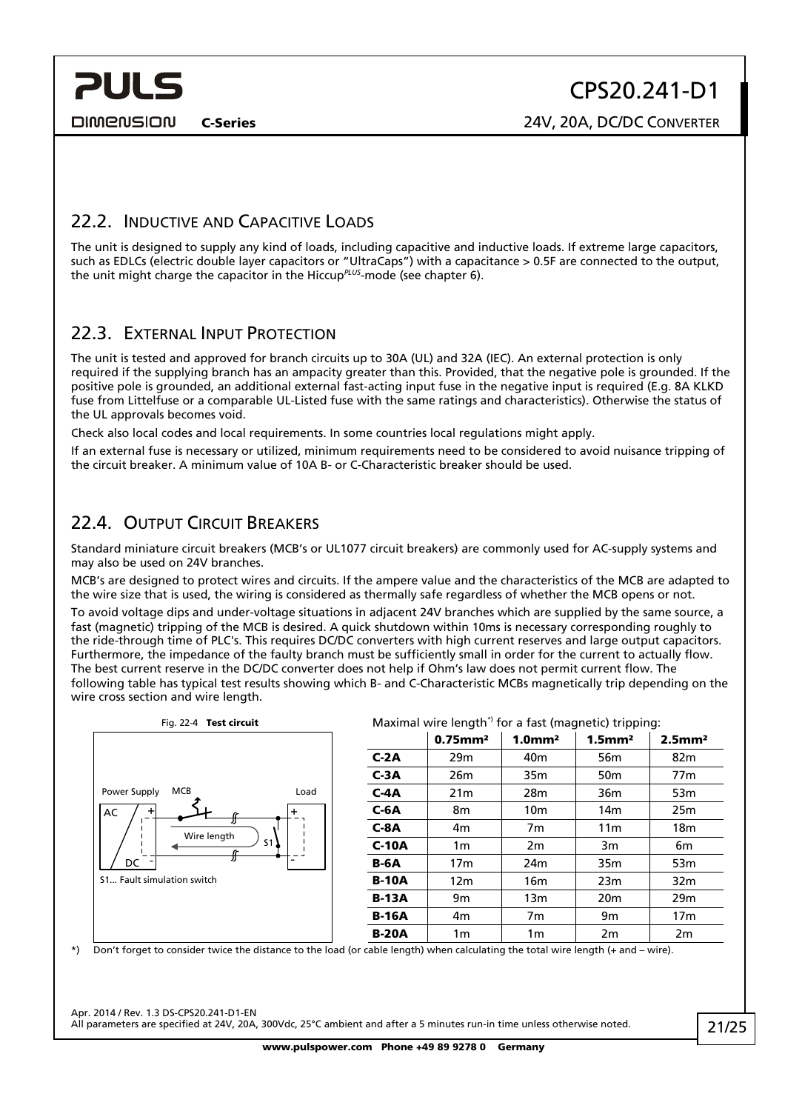<span id="page-20-0"></span>**PULS** 

### 22.2. INDUCTIVE AND CAPACITIVE LOADS

The unit is designed to supply any kind of loads, including capacitive and inductive loads. If extreme large capacitors, such as EDLCs (electric double layer capacitors or "UltraCaps") with a capacitance > 0.5F are connected to the output, the unit might charge the capacitor in the Hiccup*PLUS*-mode (see chapter [6](#page-5-1)).

### 22.3. EXTERNAL INPUT PROTECTION

The unit is tested and approved for branch circuits up to 30A (UL) and 32A (IEC). An external protection is only required if the supplying branch has an ampacity greater than this. Provided, that the negative pole is grounded. If the positive pole is grounded, an additional external fast-acting input fuse in the negative input is required (E.g. 8A KLKD fuse from Littelfuse or a comparable UL-Listed fuse with the same ratings and characteristics). Otherwise the status of the UL approvals becomes void.

Check also local codes and local requirements. In some countries local regulations might apply.

If an external fuse is necessary or utilized, minimum requirements need to be considered to avoid nuisance tripping of the circuit breaker. A minimum value of 10A B- or C-Characteristic breaker should be used.

### 22.4. OUTPUT CIRCUIT BREAKERS

Standard miniature circuit breakers (MCB's or UL1077 circuit breakers) are commonly used for AC-supply systems and may also be used on 24V branches.

MCB's are designed to protect wires and circuits. If the ampere value and the characteristics of the MCB are adapted to the wire size that is used, the wiring is considered as thermally safe regardless of whether the MCB opens or not.

To avoid voltage dips and under-voltage situations in adjacent 24V branches which are supplied by the same source, a fast (magnetic) tripping of the MCB is desired. A quick shutdown within 10ms is necessary corresponding roughly to the ride-through time of PLC's. This requires DC/DC converters with high current reserves and large output capacitors. Furthermore, the impedance of the faulty branch must be sufficiently small in order for the current to actually flow. The best current reserve in the DC/DC converter does not help if Ohm's law does not permit current flow. The following table has typical test results showing which B- and C-Characteristic MCBs magnetically trip depending on the wire cross section and wire length.



\*) Don't forget to consider twice the distance to the load (or cable length) when calculating the total wire length (+ and – wire).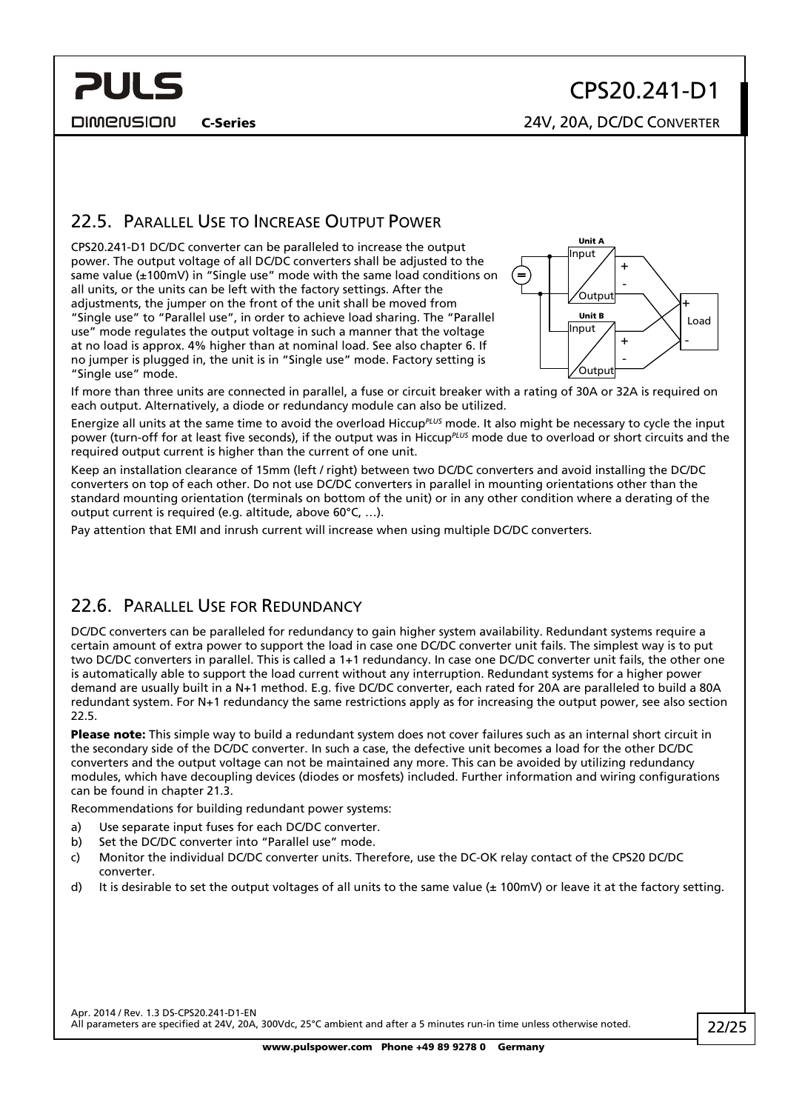<span id="page-21-0"></span>**PULS** 

# CPS20.241-D1

C-Series 24V, 20A, DC/DC CONVERTER

### <span id="page-21-1"></span>22.5. PARALLEL USE TO INCREASE OUTPUT POWER

CPS20.241-D1 DC/DC converter can be paralleled to increase the output power. The output voltage of all DC/DC converters shall be adjusted to the same value (±100mV) in "Single use" mode with the same load conditions on all units, or the units can be left with the factory settings. After the adjustments, the jumper on the front of the unit shall be moved from "Single use" to "Parallel use", in order to achieve load sharing. The "Parallel use" mode regulates the output voltage in such a manner that the voltage at no load is approx. 4% higher than at nominal load. See also chapter [6](#page-5-1). If no jumper is plugged in, the unit is in "Single use" mode. Factory setting is "Single use" mode.



If more than three units are connected in parallel, a fuse or circuit breaker with a rating of 30A or 32A is required on each output. Alternatively, a diode or redundancy module can also be utilized.

Energize all units at the same time to avoid the overload Hiccup*PLUS* mode. It also might be necessary to cycle the input power (turn-off for at least five seconds), if the output was in Hiccup*PLUS* mode due to overload or short circuits and the required output current is higher than the current of one unit.

Keep an installation clearance of 15mm (left / right) between two DC/DC converters and avoid installing the DC/DC converters on top of each other. Do not use DC/DC converters in parallel in mounting orientations other than the standard mounting orientation (terminals on bottom of the unit) or in any other condition where a derating of the output current is required (e.g. altitude, above 60°C, …).

Pay attention that EMI and inrush current will increase when using multiple DC/DC converters.

### 22.6. PARALLEL USE FOR REDUNDANCY

DC/DC converters can be paralleled for redundancy to gain higher system availability. Redundant systems require a certain amount of extra power to support the load in case one DC/DC converter unit fails. The simplest way is to put two DC/DC converters in parallel. This is called a 1+1 redundancy. In case one DC/DC converter unit fails, the other one is automatically able to support the load current without any interruption. Redundant systems for a higher power demand are usually built in a N+1 method. E.g. five DC/DC converter, each rated for 20A are paralleled to build a 80A redundant system. For N+1 redundancy the same restrictions apply as for increasing the output power, see also section [22.5](#page-21-1).

Please note: This simple way to build a redundant system does not cover failures such as an internal short circuit in the secondary side of the DC/DC converter. In such a case, the defective unit becomes a load for the other DC/DC converters and the output voltage can not be maintained any more. This can be avoided by utilizing redundancy modules, which have decoupling devices (diodes or mosfets) included. Further information and wiring configurations can be found in chapter [21.3](#page-18-1).

Recommendations for building redundant power systems:

- a) Use separate input fuses for each DC/DC converter.
- b) Set the DC/DC converter into "Parallel use" mode.
- c) Monitor the individual DC/DC converter units. Therefore, use the DC-OK relay contact of the CPS20 DC/DC converter.
- d) It is desirable to set the output voltages of all units to the same value ( $\pm$  100mV) or leave it at the factory setting.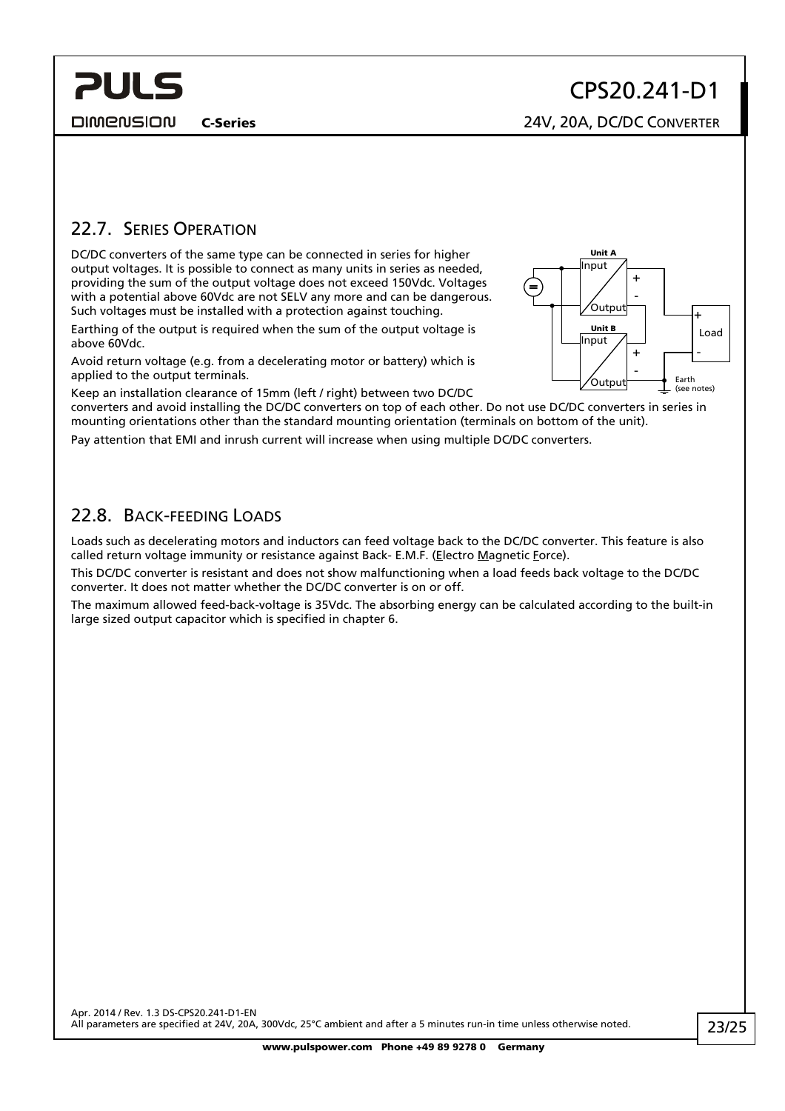<span id="page-22-0"></span>**PULS** 

C-Series 24V, 20A, DC/DC CONVERTER

### 22.7. SERIES OPERATION

DC/DC converters of the same type can be connected in series for higher output voltages. It is possible to connect as many units in series as needed, providing the sum of the output voltage does not exceed 150Vdc. Voltages with a potential above 60Vdc are not SELV any more and can be dangerous. Such voltages must be installed with a protection against touching.

Earthing of the output is required when the sum of the output voltage is above 60Vdc.

Avoid return voltage (e.g. from a decelerating motor or battery) which is applied to the output terminals.

Keep an installation clearance of 15mm (left / right) between two DC/DC

converters and avoid installing the DC/DC converters on top of each other. Do not use DC/DC converters in series in mounting orientations other than the standard mounting orientation (terminals on bottom of the unit).

Pay attention that EMI and inrush current will increase when using multiple DC/DC converters.

### 22.8. BACK-FEEDING LOADS

Loads such as decelerating motors and inductors can feed voltage back to the DC/DC converter. This feature is also called return voltage immunity or resistance against Back- E.M.F. (Electro Magnetic Force).

This DC/DC converter is resistant and does not show malfunctioning when a load feeds back voltage to the DC/DC converter. It does not matter whether the DC/DC converter is on or off.

The maximum allowed feed-back-voltage is 35Vdc. The absorbing energy can be calculated according to the built-in large sized output capacitor which is specified in chapter [6](#page-5-1).

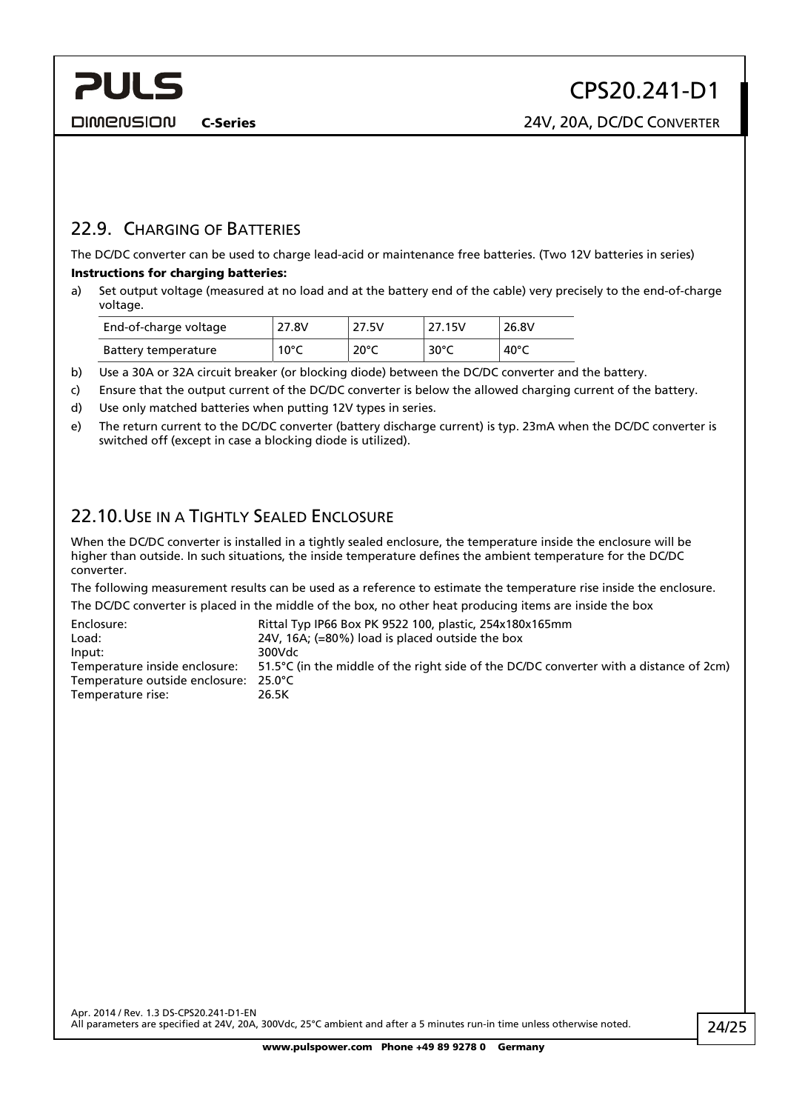<span id="page-23-0"></span>**PULS** 

### 22.9. CHARGING OF BATTERIES

The DC/DC converter can be used to charge lead-acid or maintenance free batteries. (Two 12V batteries in series) Instructions for charging batteries:

a) Set output voltage (measured at no load and at the battery end of the cable) very precisely to the end-of-charge voltage.

| End-of-charge voltage | 27.8V | 27.5V          | 27.15V | 26.8V |
|-----------------------|-------|----------------|--------|-------|
| Battery temperature   | 10°C  | $20^{\circ}$ C | 30°C   | 40°C  |

- b) Use a 30A or 32A circuit breaker (or blocking diode) between the DC/DC converter and the battery.
- c) Ensure that the output current of the DC/DC converter is below the allowed charging current of the battery.
- d) Use only matched batteries when putting 12V types in series.
- e) The return current to the DC/DC converter (battery discharge current) is typ. 23mA when the DC/DC converter is switched off (except in case a blocking diode is utilized).

### 22.10.USE IN A TIGHTLY SEALED ENCLOSURE

When the DC/DC converter is installed in a tightly sealed enclosure, the temperature inside the enclosure will be higher than outside. In such situations, the inside temperature defines the ambient temperature for the DC/DC converter.

The following measurement results can be used as a reference to estimate the temperature rise inside the enclosure. The DC/DC converter is placed in the middle of the box, no other heat producing items are inside the box

| Enclosure:                     | Rittal Typ IP66 Box PK 9522 100, plastic, 254x180x165mm                                |
|--------------------------------|----------------------------------------------------------------------------------------|
| Load:                          | 24V, 16A; (=80%) load is placed outside the box                                        |
| Input:                         | 300Vdc                                                                                 |
| Temperature inside enclosure:  | 51.5°C (in the middle of the right side of the DC/DC converter with a distance of 2cm) |
| Temperature outside enclosure: | 25.0°C                                                                                 |
| Temperature rise:              | 26.5K                                                                                  |
|                                |                                                                                        |